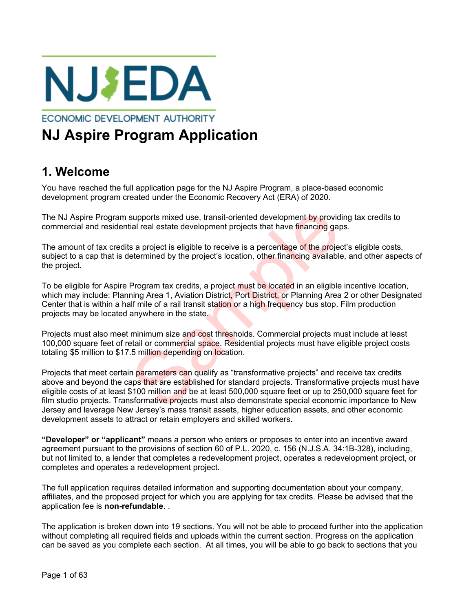

**ECONOMIC DEVELOPMENT AUTHORITY** 

# **NJ Aspire Program Application**

# **1. Welcome**

You have reached the full application page for the NJ Aspire Program, a place-based economic development program created under the Economic Recovery Act (ERA) of 2020.

The NJ Aspire Program supports mixed use, transit-oriented development by providing tax credits to commercial and residential real estate development projects that have financing gaps.

The amount of tax credits a project is eligible to receive is a percentage of the project's eligible costs, subject to a cap that is determined by the project's location, other financing available, and other aspects of the project.

To be eligible for Aspire Program tax credits, a project must be located in an eligible incentive location, which may include: Planning Area 1, Aviation District, Port District, or Planning Area 2 or other Designated Center that is within a half mile of a rail transit station or a high frequency bus stop. Film production projects may be located anywhere in the state.

Projects must also meet minimum size and cost thresholds. Commercial projects must include at least 100,000 square feet of retail or commercial space. Residential projects must have eligible project costs totaling \$5 million to \$17.5 million depending on location.

Projects that meet certain parameters can qualify as "transformative projects" and receive tax credits above and beyond the caps that are established for standard projects. Transformative projects must have eligible costs of at least \$100 million and be at least 500,000 square feet or up to 250,000 square feet for film studio projects. Transformative projects must also demonstrate special economic importance to New Jersey and leverage New Jersey's mass transit assets, higher education assets, and other economic development assets to attract or retain employers and skilled workers. supports mixed use, transit-oriented development by provid<br>tial real estate development projects that have financing gaps<br>a project is eligible to receive is a percentage of the projec<br>etermined by the project's location,

**"Developer" or "applicant"** means a person who enters or proposes to enter into an incentive award agreement pursuant to the provisions of section 60 of P.L. 2020, c. 156 (N.J.S.A. 34:1B-328), including, but not limited to, a lender that completes a redevelopment project, operates a redevelopment project, or completes and operates a redevelopment project.

The full application requires detailed information and supporting documentation about your company, affiliates, and the proposed project for which you are applying for tax credits. Please be advised that the application fee is **non-refundable**. .

The application is broken down into 19 sections. You will not be able to proceed further into the application without completing all required fields and uploads within the current section. Progress on the application can be saved as you complete each section. At all times, you will be able to go back to sections that you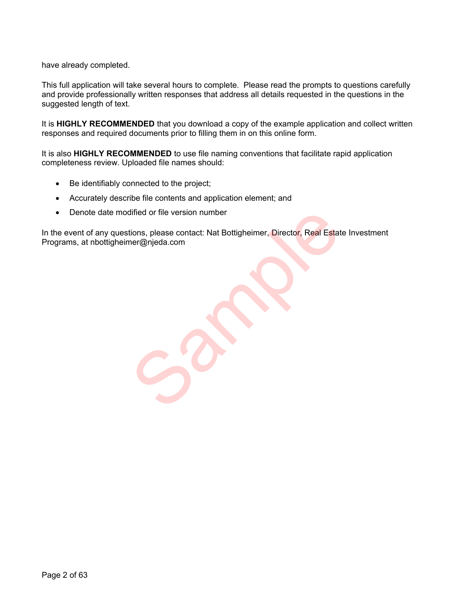have already completed.

This full application will take several hours to complete. Please read the prompts to questions carefully and provide professionally written responses that address all details requested in the questions in the suggested length of text.

It is **HIGHLY RECOMMENDED** that you download a copy of the example application and collect written responses and required documents prior to filling them in on this online form.

It is also **HIGHLY RECOMMENDED** to use file naming conventions that facilitate rapid application completeness review. Uploaded file names should:

- Be identifiably connected to the project;
- Accurately describe file contents and application element; and
- Denote date modified or file version number

In the event of any questions, please contact: Nat Bottigheimer, Director, Real Estate Investment Programs, at nbottigheimer@njeda.com dified or file version number<br>tions, please contact: Nat Bottigheimer, Director, Real Estat<br>ner@njeda.com<br>All Director of Real Estat<br>All Director of Real Estat<br>All Director of Real Estat<br>All Director of Real Estat<br>All Dire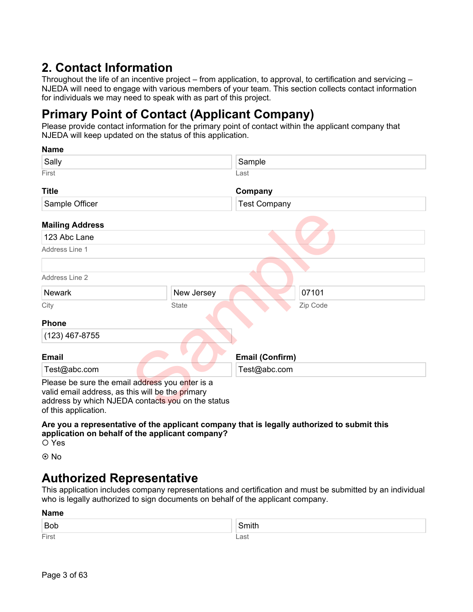# **2. Contact Information**

Throughout the life of an incentive project – from application, to approval, to certification and servicing – NJEDA will need to engage with various members of your team. This section collects contact information for individuals we may need to speak with as part of this project.

# **Primary Point of Contact (Applicant Company)**

Please provide contact information for the primary point of contact within the applicant company that NJEDA will keep updated on the status of this application.

| <b>NAILLE</b>                                                                                                                                                                    |              |                        |          |
|----------------------------------------------------------------------------------------------------------------------------------------------------------------------------------|--------------|------------------------|----------|
| Sally                                                                                                                                                                            |              | Sample                 |          |
| First                                                                                                                                                                            |              | Last                   |          |
| <b>Title</b>                                                                                                                                                                     |              | Company                |          |
| Sample Officer                                                                                                                                                                   |              | <b>Test Company</b>    |          |
| <b>Mailing Address</b>                                                                                                                                                           |              |                        |          |
| 123 Abc Lane                                                                                                                                                                     |              |                        |          |
| Address Line 1                                                                                                                                                                   |              |                        |          |
|                                                                                                                                                                                  |              |                        |          |
| Address Line 2                                                                                                                                                                   |              |                        |          |
| <b>Newark</b>                                                                                                                                                                    | New Jersey   |                        | 07101    |
| City                                                                                                                                                                             | <b>State</b> |                        | Zip Code |
| <b>Phone</b>                                                                                                                                                                     |              |                        |          |
| $(123)$ 467-8755                                                                                                                                                                 |              |                        |          |
| <b>Email</b>                                                                                                                                                                     |              | <b>Email (Confirm)</b> |          |
| Test@abc.com                                                                                                                                                                     |              | Test@abc.com           |          |
| Please be sure the email address you enter is a<br>valid email address, as this will be the primary<br>address by which NJEDA contacts you on the status<br>of this application. |              |                        |          |

**Are you a representative of the applicant company that is legally authorized to submit this application on behalf of the applicant company?**

Yes

**Name**

© No

# **Authorized Representative**

This application includes company representations and certification and must be submitted by an individual who is legally authorized to sign documents on behalf of the applicant company.

| <b>Name</b> |             |  |
|-------------|-------------|--|
| <b>Bob</b>  | .<br>. muth |  |
| First       | _ast        |  |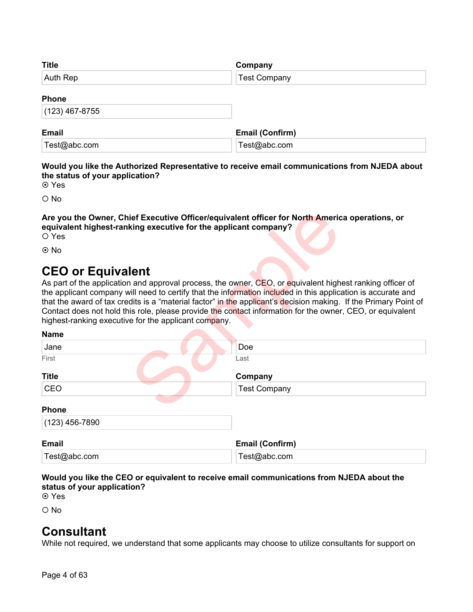| <b>Title</b>     | Company                |
|------------------|------------------------|
| Auth Rep         | <b>Test Company</b>    |
| <b>Phone</b>     |                        |
| $(123)$ 467-8755 |                        |
| <b>Email</b>     | <b>Email (Confirm)</b> |
| Test@abc.com     | Test@abc.com           |

### **Would you like the Authorized Representative to receive email communications from NJEDA about the status of your application?**

**⊙** Yes

 $\Omega$  No

### **Are you the Owner, Chief Executive Officer/equivalent officer for North America operations, or equivalent highest-ranking executive for the applicant company?**

# **CEO or Equivalent**

| Are you the Owner, Chief Executive Officer/equivalent officer for North America operations, or<br>equivalent highest-ranking executive for the applicant company?<br>O Yes                                                                                                                                                                                                                                                 |                                                                                                                  |
|----------------------------------------------------------------------------------------------------------------------------------------------------------------------------------------------------------------------------------------------------------------------------------------------------------------------------------------------------------------------------------------------------------------------------|------------------------------------------------------------------------------------------------------------------|
| $\odot$ No                                                                                                                                                                                                                                                                                                                                                                                                                 |                                                                                                                  |
| <b>CEO or Equivalent</b><br>As part of the application and approval process, the owner, CEO, or equivalent highest ranking officer of<br>the applicant company will need to certify that the information included in this application is accurate and<br>Contact does not hold this role, please provide the contact information for the owner, CEO, or equivalent<br>highest-ranking executive for the applicant company. | that the award of tax credits is a "material factor" in the applicant's decision making. If the Primary Point of |
| <b>Name</b>                                                                                                                                                                                                                                                                                                                                                                                                                |                                                                                                                  |
| Jane                                                                                                                                                                                                                                                                                                                                                                                                                       | Doe                                                                                                              |
| First                                                                                                                                                                                                                                                                                                                                                                                                                      | Last                                                                                                             |
| <b>Title</b>                                                                                                                                                                                                                                                                                                                                                                                                               | Company                                                                                                          |
| CEO                                                                                                                                                                                                                                                                                                                                                                                                                        | <b>Test Company</b>                                                                                              |
| <b>Phone</b><br>$(123)$ 456-7890                                                                                                                                                                                                                                                                                                                                                                                           |                                                                                                                  |
| <b>Email</b>                                                                                                                                                                                                                                                                                                                                                                                                               | <b>Email (Confirm)</b>                                                                                           |
| Test@abc.com                                                                                                                                                                                                                                                                                                                                                                                                               | Test@abc.com                                                                                                     |

### **Would you like the CEO or equivalent to receive email communications from NJEDA about the status of your application?**

Yes

 $O$  No

# **Consultant**

While not required, we understand that some applicants may choose to utilize consultants for support on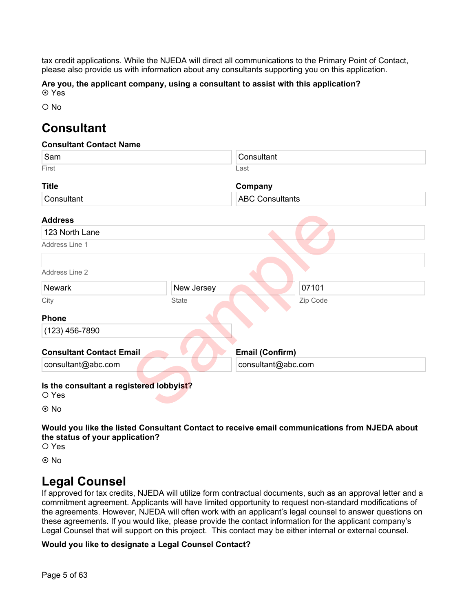tax credit applications. While the NJEDA will direct all communications to the Primary Point of Contact, please also provide us with information about any consultants supporting you on this application.

**Are you, the applicant company, using a consultant to assist with this application? ⊙** Yes

O No

# **Consultant**

### **Consultant Contact Name**

| Sam                                               |              | Consultant             |          |
|---------------------------------------------------|--------------|------------------------|----------|
| First                                             |              | Last                   |          |
| <b>Title</b>                                      |              | Company                |          |
| Consultant                                        |              | <b>ABC Consultants</b> |          |
| <b>Address</b>                                    |              |                        |          |
| 123 North Lane                                    |              |                        |          |
| Address Line 1                                    |              |                        |          |
|                                                   |              |                        |          |
| Address Line 2                                    |              |                        |          |
| <b>Newark</b>                                     | New Jersey   |                        | 07101    |
| City                                              | <b>State</b> |                        | Zip Code |
| <b>Phone</b>                                      |              |                        |          |
| $(123)$ 456-7890                                  |              |                        |          |
| <b>Consultant Contact Email</b>                   |              | Email (Confirm)        |          |
| consultant@abc.com                                |              | consultant@abc.com     |          |
| Is the consultant a registered lobbyist?<br>O Yes |              |                        |          |
| $\odot$ No                                        |              |                        |          |

**Would you like the listed Consultant Contact to receive email communications from NJEDA about the status of your application?**

O Yes

© No

# **Legal Counsel**

If approved for tax credits, NJEDA will utilize form contractual documents, such as an approval letter and a commitment agreement. Applicants will have limited opportunity to request non-standard modifications of the agreements. However, NJEDA will often work with an applicant's legal counsel to answer questions on these agreements. If you would like, please provide the contact information for the applicant company's Legal Counsel that will support on this project. This contact may be either internal or external counsel.

### **Would you like to designate a Legal Counsel Contact?**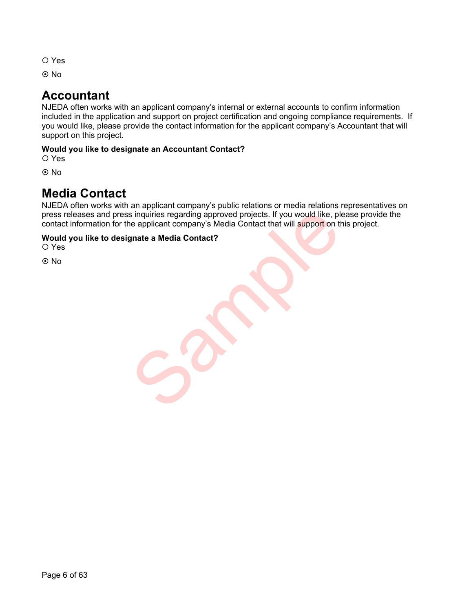- O Yes
- **⊙**No

# **Accountant**

NJEDA often works with an applicant company's internal or external accounts to confirm information included in the application and support on project certification and ongoing compliance requirements. If you would like, please provide the contact information for the applicant company's Accountant that will support on this project.

### **Would you like to designate an Accountant Contact?**

O Yes

**⊙**No

# **Media Contact**

NJEDA often works with an applicant company's public relations or media relations representatives on press releases and press inquiries regarding approved projects. If you would like, please provide the contact information for the applicant company's Media Contact that will support on this project. is inquiries regarding approved projects. If you would like, please applicant company's Media Contact that will support on the gradie a Media Contact?

### **Would you like to designate a Media Contact?**

O Yes

No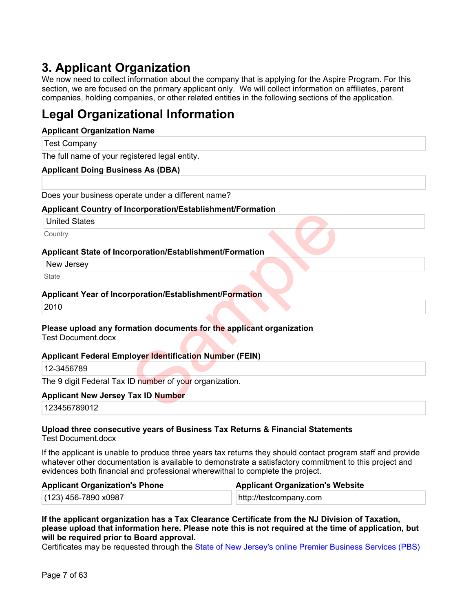# **3. Applicant Organization**

We now need to collect information about the company that is applying for the Aspire Program. For this section, we are focused on the primary applicant only. We will collect information on affiliates, parent companies, holding companies, or other related entities in the following sections of the application.

# **Legal Organizational Information**

### **Applicant Organization Name**

| <b>Test Company</b>                                                  |  |
|----------------------------------------------------------------------|--|
| The full name of your registered legal entity.                       |  |
| <b>Applicant Doing Business As (DBA)</b>                             |  |
|                                                                      |  |
| Does your business operate under a different name?                   |  |
| <b>Applicant Country of Incorporation/Establishment/Formation</b>    |  |
| <b>United States</b>                                                 |  |
| Country                                                              |  |
| Applicant State of Incorporation/Establishment/Formation             |  |
| New Jersey                                                           |  |
| <b>State</b>                                                         |  |
| Applicant Year of Incorporation/Establishment/Formation              |  |
| 2010                                                                 |  |
|                                                                      |  |
| Please upload any formation documents for the applicant organization |  |
| <b>Test Document.docx</b>                                            |  |
| <b>Applicant Federal Employer Identification Number (FEIN)</b>       |  |
| 12-3456789                                                           |  |
| The 9 digit Federal Tax ID number of your organization.              |  |
| <b>Applicant New Jersey Tax ID Number</b>                            |  |
| 123456789012                                                         |  |

### **Please upload any formation documents for the applicant organization** Test Document docx

### **Applicant Federal Employer Identification Number (FEIN)**

### **Applicant New Jersey Tax ID Number**

123456789012

### **Upload three consecutive years of Business Tax Returns & Financial Statements**

Test Document.docx

If the applicant is unable to produce three years tax returns they should contact program staff and provide whatever other documentation is available to demonstrate a satisfactory commitment to this project and evidences both financial and professional wherewithal to complete the project.

| <b>Applicant Organization's Phone</b> | <b>Applicant Organization's Website</b> |
|---------------------------------------|-----------------------------------------|
| $(123)$ 456-7890 x0987                | http://testcompany.com                  |

**If the applicant organization has a Tax Clearance Certificate from the NJ Division of Taxation, please upload that information here. Please note this is not required at the time of application, but will be required prior to Board approval.**

Certificates may be requested through the [State of New Jersey's online Premier Business Services \(PBS\)](https://www16.state.nj.us/NJ_PREMIER_EBIZ/jsp/home.jsp)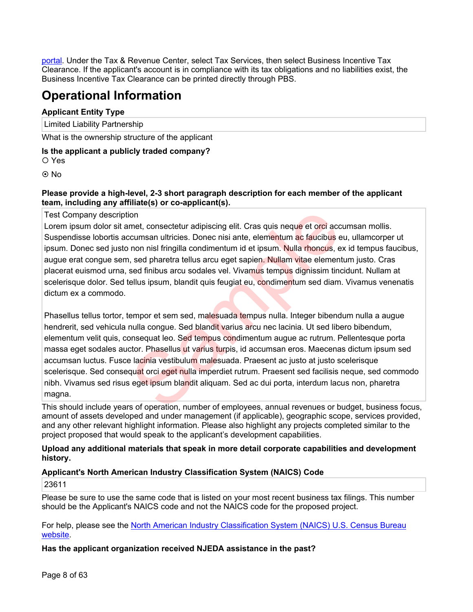[portal](https://www16.state.nj.us/NJ_PREMIER_EBIZ/jsp/home.jsp). Under the Tax & Revenue Center, select Tax Services, then select Business Incentive Tax Clearance. If the applicant's account is in compliance with its tax obligations and no liabilities exist, the Business Incentive Tax Clearance can be printed directly through PBS.

# **Operational Information**

### **Applicant Entity Type**

Limited Liability Partnership

What is the ownership structure of the applicant

### **Is the applicant a publicly traded company?**

Yes

⊙ No

### **Please provide a high-level, 2-3 short paragraph description for each member of the applicant team, including any affiliate(s) or co-applicant(s).**

### Test Company description

Lorem ipsum dolor sit amet, consectetur adipiscing elit. Cras quis neque et orci accumsan mollis. Suspendisse lobortis accumsan ultricies. Donec nisi ante, elementum ac faucibus eu, ullamcorper ut ipsum. Donec sed justo non nisl fringilla condimentum id et ipsum. Nulla rhoncus, ex id tempus faucibus, augue erat congue sem, sed pharetra tellus arcu eget sapien. Nullam vitae elementum justo. Cras placerat euismod urna, sed finibus arcu sodales vel. Vivamus tempus dignissim tincidunt. Nullam at scelerisque dolor. Sed tellus ipsum, blandit quis feugiat eu, condimentum sed diam. Vivamus venenatis dictum ex a commodo.

Phasellus tellus tortor, tempor et sem sed, malesuada tempus nulla. Integer bibendum nulla a augue hendrerit, sed vehicula nulla congue. Sed blandit varius arcu nec lacinia. Ut sed libero bibendum, elementum velit quis, consequat leo. Sed tempus condimentum augue ac rutrum. Pellentesque porta massa eget sodales auctor. Phasellus ut varius turpis, id accumsan eros. Maecenas dictum ipsum sed accumsan luctus. Fusce lacinia vestibulum malesuada. Praesent ac justo at justo scelerisque scelerisque. Sed consequat orci eget nulla imperdiet rutrum. Praesent sed facilisis neque, sed commodo nibh. Vivamus sed risus eget ipsum blandit aliquam. Sed ac dui porta, interdum lacus non, pharetra magna. on<br>
on met, consectetur adipiscing elit. Cras quis neque et orci acc<br>
ccumsan ultricies. Donec nisi ante, elementum ac faucibus e<br>
non nisi fringilla condimentum id et ipsum. Nulla rhoncus, e<br>
is ed pharetra tellus arcu eg

This should include years of operation, number of employees, annual revenues or budget, business focus, amount of assets developed and under management (if applicable), geographic scope, services provided, and any other relevant highlight information. Please also highlight any projects completed similar to the project proposed that would speak to the applicant's development capabilities.

### **Upload any additional materials that speak in more detail corporate capabilities and development history.**

### **Applicant's North American Industry Classification System (NAICS) Code**

23611

Please be sure to use the same code that is listed on your most recent business tax filings. This number should be the Applicant's NAICS code and not the NAICS code for the proposed project.

For help, please see the [North American Industry Classification System \(NAICS\) U.S. Census Bureau](https://www.census.gov/naics/)  [website.](https://www.census.gov/naics/)

**Has the applicant organization received NJEDA assistance in the past?**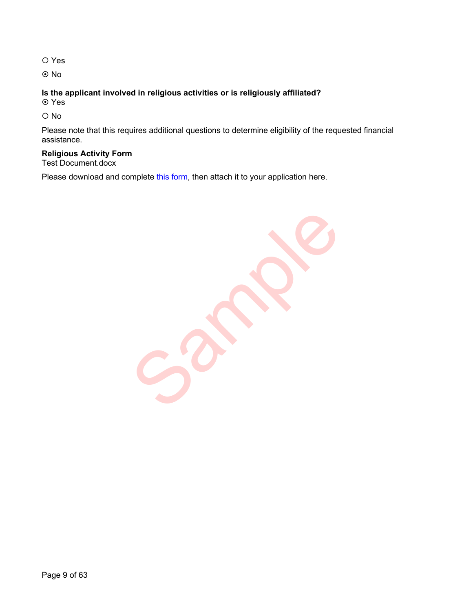O Yes

No

### **Is the applicant involved in religious activities or is religiously affiliated?**

Yes

O No

Please note that this requires additional questions to determine eligibility of the requested financial assistance.

### **Religious Activity Form**

Test Document.docx

Please download and complete [this form](https://files.business.nj.gov/NJEDA/Religious%20Activity%20Questionnaire.pdf), then attach it to your application here.

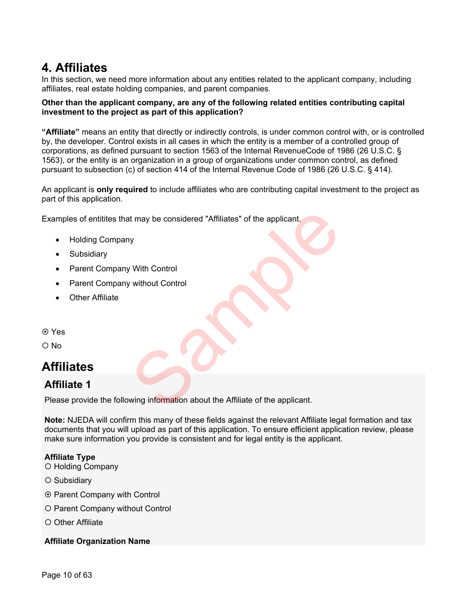# **4. Affiliates**

In this section, we need more information about any entities related to the applicant company, including affiliates, real estate holding companies, and parent companies.

### **Other than the applicant company, are any of the following related entities contributing capital investment to the project as part of this application?**

**"Affiliate"** means an entity that directly or indirectly controls, is under common control with, or is controlled by, the developer. Control exists in all cases in which the entity is a member of a controlled group of corporations, as defined pursuant to section 1563 of the Internal RevenueCode of 1986 (26 U.S.C. § 1563), or the entity is an organization in a group of organizations under common control, as defined pursuant to subsection (c) of section 414 of the Internal Revenue Code of 1986 (26 U.S.C. § 414).

An applicant is **only required** to include affiliates who are contributing capital investment to the project as part of this application.

Examples of entitites that may be considered "Affiliates" of the applicant.

- Holding Company
- Subsidiary
- Parent Company With Control
- Parent Company without Control
- Other Affiliate
- Yes
- O No

# **Affiliates**

### **Affiliate 1**

Please provide the following information about the Affiliate of the applicant. It may be considered "Affiliates" of the applicant.<br>
y<br>
Vith Control<br>
vithout Control<br>
vithout Control<br>
wing information about the Affiliate of the applicant.

**Note:** NJEDA will confirm this many of these fields against the relevant Affiliate legal formation and tax documents that you will upload as part of this application. To ensure efficient application review, please make sure information you provide is consistent and for legal entity is the applicant.

### **Affiliate Type**

- O Holding Company
- O Subsidiary
- ⊙ Parent Company with Control
- O Parent Company without Control
- O Other Affiliate

### **Affiliate Organization Name**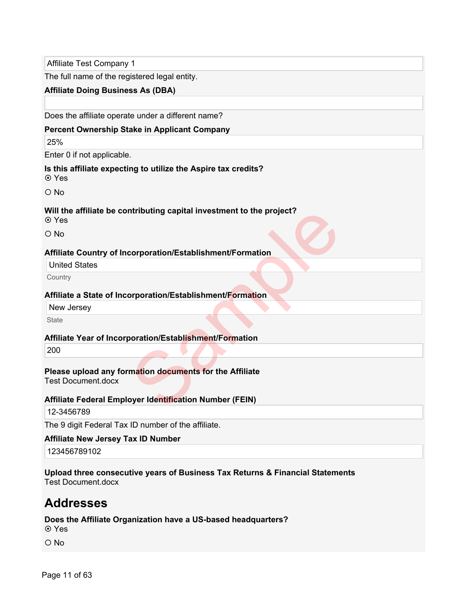Affiliate Test Company 1

The full name of the registered legal entity.

### **Affiliate Doing Business As (DBA)**

Does the affiliate operate under a different name?

### **Percent Ownership Stake in Applicant Company**

25%

Enter 0 if not applicable.

### **Is this affiliate expecting to utilize the Aspire tax credits?**

Yes

O No

### **Will the affiliate be contributing capital investment to the project?**

Yes

O No

### **Affiliate Country of Incorporation/Establishment/Formation**

United States

**Country** 

### **Affiliate a State of Incorporation/Establishment/Formation**

New Jersey

**State** 

### **Affiliate Year of Incorporation/Establishment/Formation**

200

# **Please upload any formation documents for the Affiliate** ntributing capital investment to the project?<br>
Corporation/Establishment/Formation<br>
Supervisor (Stablishment/Formation<br>
Moration/Establishment/Formation<br>
Moration documents for the Affiliate<br>
Supervisor Identification Numb

Test Document.docx

### **Affiliate Federal Employer Identification Number (FEIN)**

```
12-3456789
```
The 9 digit Federal Tax ID number of the affiliate.

### **Affiliate New Jersey Tax ID Number**

123456789102

**Upload three consecutive years of Business Tax Returns & Financial Statements** Test Document.docx

# **Addresses**

**Does the Affiliate Organization have a US-based headquarters?** Yes

 $O$  No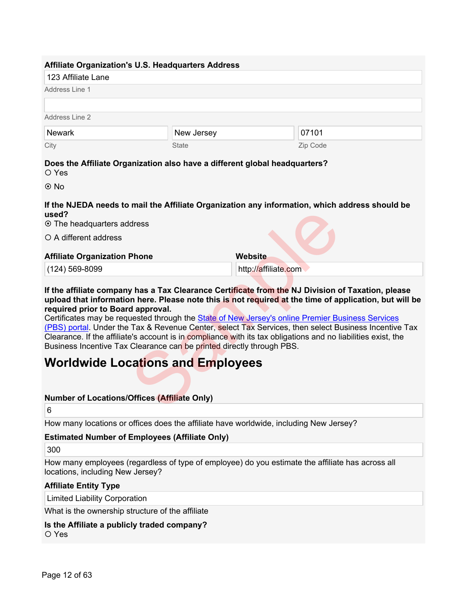|                                     | <b>Affiliate Organization's U.S. Headquarters Address</b>                  |                                                                                                |
|-------------------------------------|----------------------------------------------------------------------------|------------------------------------------------------------------------------------------------|
| 123 Affiliate Lane                  |                                                                            |                                                                                                |
| Address Line 1                      |                                                                            |                                                                                                |
|                                     |                                                                            |                                                                                                |
| Address Line 2                      |                                                                            |                                                                                                |
| <b>Newark</b>                       | New Jersey                                                                 | 07101                                                                                          |
| City                                | <b>State</b>                                                               | Zip Code                                                                                       |
| O Yes                               | Does the Affiliate Organization also have a different global headquarters? |                                                                                                |
| $\odot$ No                          |                                                                            |                                                                                                |
| used?<br>⊙ The headquarters address |                                                                            | If the NJEDA needs to mail the Affiliate Organization any information, which address should be |
| ○ A different address               |                                                                            |                                                                                                |

### **Affiliate Organization Phone**

**If the affiliate company has a Tax Clearance Certificate from the NJ Division of Taxation, please upload that information here. Please note this is not required at the time of application, but will be required prior to Board approval.**

**Website**

http://affiliate.com

Certificates may be requested through the State of New Jersey's online Premier [Business Services](https://www16.state.nj.us/NJ_PREMIER_EBIZ/jsp/home.jsp)  [\(PBS\) portal.](https://www16.state.nj.us/NJ_PREMIER_EBIZ/jsp/home.jsp) Under the Tax & Revenue Center, select Tax Services, then select Business Incentive Tax Clearance. If the affiliate's account is in compliance with its tax obligations and no liabilities exist, the Business Incentive Tax Clearance can be printed directly through PBS. dress<br>
Phone Website<br>
Multip://affiliate.co[m](https://www16.state.nj.us/NJ_PREMIER_EBIZ/jsp/home.jsp)<br>
Mas a Tax Clearance Certificate from the NJ Division of<br>
In here. Please note this is not required at the time of approval.<br>
Lested through the State of New Jersey's online Pre

# **Worldwide Locations and Employees**

### **Number of Locations/Offices (Affiliate Only)**

6

How many locations or offices does the affiliate have worldwide, including New Jersey?

### **Estimated Number of Employees (Affiliate Only)**

300

How many employees (regardless of type of employee) do you estimate the affiliate has across all locations, including New Jersey?

### **Affiliate Entity Type**

Limited Liability Corporation

What is the ownership structure of the affiliate

### **Is the Affiliate a publicly traded company?**

O Yes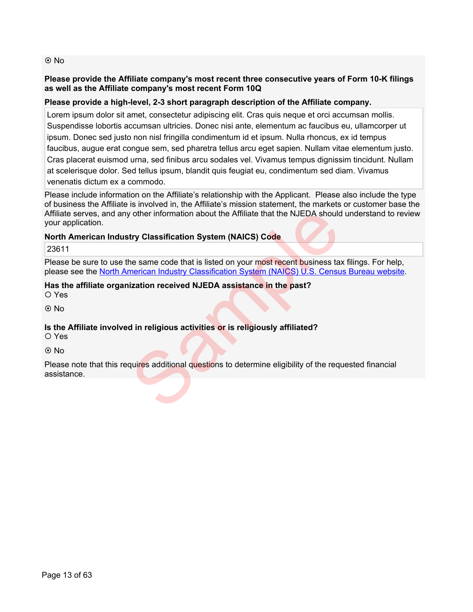### **⊙**No

### **Please provide the Affiliate company's most recent three consecutive years of Form 10-K filings as well as the Affiliate company's most recent Form 10Q**

### **Please provide a high-level, 2-3 short paragraph description of the Affiliate company.**

Lorem ipsum dolor sit amet, consectetur adipiscing elit. Cras quis neque et orci accumsan mollis. Suspendisse lobortis accumsan ultricies. Donec nisi ante, elementum ac faucibus eu, ullamcorper ut ipsum. Donec sed justo non nisl fringilla condimentum id et ipsum. Nulla rhoncus, ex id tempus faucibus, augue erat congue sem, sed pharetra tellus arcu eget sapien. Nullam vitae elementum justo. Cras placerat euismod urna, sed finibus arcu sodales vel. Vivamus tempus dignissim tincidunt. Nullam at scelerisque dolor. Sed tellus ipsum, blandit quis feugiat eu, condimentum sed diam. Vivamus venenatis dictum ex a commodo.

Please include information on the Affiliate's relationship with the Applicant. Please also include the type of business the Affiliate is involved in, the Affiliate's mission statement, the markets or customer base the Affiliate serves, and any other information about the Affiliate that the NJEDA should understand to review your application.

### **North American Industry Classification System (NAICS) Code**

23611

Please be sure to use the same code that is listed on your most recent business tax filings. For help, please see the [North American](https://www.census.gov/naics/) Industry Classification System (NAICS) U.S. [Census Bureau website.](https://www.census.gov/naics/) v other information about the Affiliate that the NJEDA should<br>try Classification System (NAICS) Code<br>ne same code that is listed on your most recent business ta:<br>merican Industry Classification System (NAICS) U.S. Censu<br>iz

### **Has the affiliate organization received NJEDA assistance in the past?**

O Yes

© No

### **Is the Affiliate involved in religious activities or is religiously affiliated?**

Yes

⊙ No

Please note that this requires additional questions to determine eligibility of the requested financial assistance.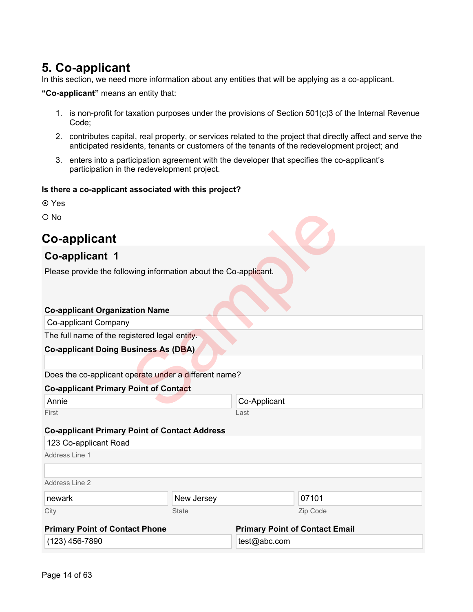# **5. Co-applicant**

In this section, we need more information about any entities that will be applying as a co-applicant.

**"Co-applicant"** means an entity that:

- 1. is non-profit for taxation purposes under the provisions of Section 501(c)3 of the Internal Revenue Code;
- 2. contributes capital, real property, or services related to the project that directly affect and serve the anticipated residents, tenants or customers of the tenants of the redevelopment project; and
- 3. enters into a participation agreement with the developer that specifies the co-applicant's participation in the redevelopment project.

### **Is there a co-applicant associated with this project?**

- **⊙** Yes
- O No

# **Co-applicant**

### **Co-applicant 1**

Please provide the following information about the Co-applicant.

# **Co-applicant Organization Name** Co-applicant Company The full name of the registered legal entity. **Co-applicant Doing Business As (DBA)** Does the co-applicant operate under a different name? **Co-applicant Primary Point of Contact** Annie First Co-Applicant Last **Co-applicant Primary Point of Contact Address** Address Line 1 Address Line 2 City State Zip Code **Primary Point of Contact Phone** (123) 456-7890 **Primary Point of Contact Email** test@abc.com 123 Co-applicant Road newark **New Jersey** New Jersey 207101 Wing information about the Co-applicant.<br>
Ation Name<br>
istered legal entity.<br>
usiness As (DBA)<br>
perate under a different name?<br>
Point of Contact<br>
Co-Applicant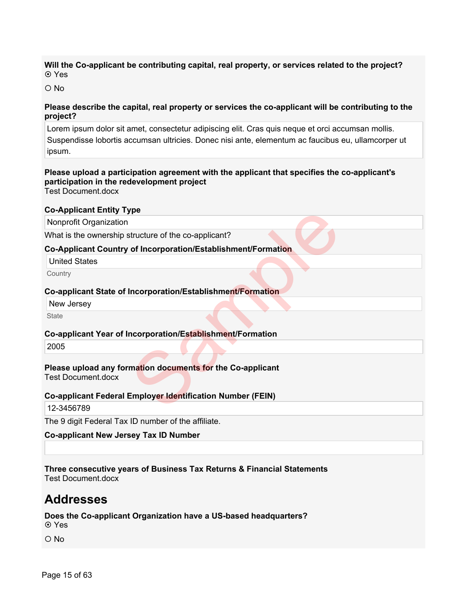### **Will the Co-applicant be contributing capital, real property, or services related to the project? ⊙** Yes

 $\Omega$  No

### **Please describe the capital, real property or services the co-applicant will be contributing to the project?**

Lorem ipsum dolor sit amet, consectetur adipiscing elit. Cras quis neque et orci accumsan mollis. Suspendisse lobortis accumsan ultricies. Donec nisi ante, elementum ac faucibus eu, ullamcorper ut ipsum.

### **Please upload a participation agreement with the applicant that specifies the co-applicant's participation in the redevelopment project**

Test Document.docx

### **Co-Applicant Entity Type**

Nonprofit Organization

What is the ownership structure of the co-applicant?

### **Co-Applicant Country of Incorporation/Establishment/Formation**

United States

**Country** 

### **Co-applicant State of Incorporation/Establishment/Formation**

New Jersey

**State** 

### **Co-applicant Year of Incorporation/Establishment/Formation**

2005

# **Please upload any formation documents for the Co-applicant** Test Document.docx pe<br>
structure of the co-applicant?<br>
of Incorporation/Establishment/Formation<br>
Incorporation/Establishment/Formation<br>
metroporation/Establishment/Formation<br>
mation documents for the Co-applicant<br>
Employer Identification Num

### **Co-applicant Federal Employer Identification Number (FEIN)**

12-3456789

The 9 digit Federal Tax ID number of the affiliate.

### **Co-applicant New Jersey Tax ID Number**

**Three consecutive years of Business Tax Returns & Financial Statements** Test Document.docx

# **Addresses**

### **Does the Co-applicant Organization have a US-based headquarters?** Yes

O No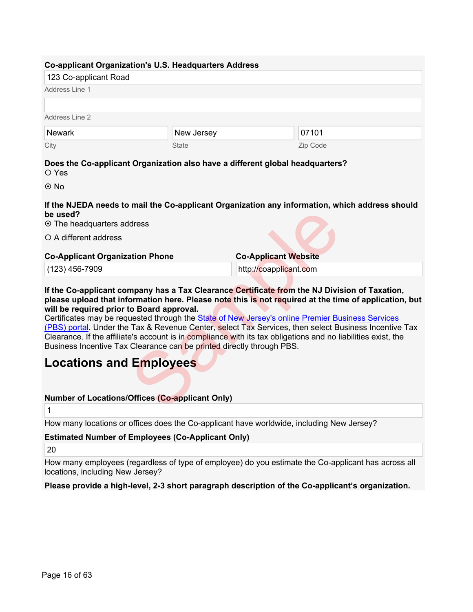| 123 Co-applicant Road |              |          |  |
|-----------------------|--------------|----------|--|
| Address Line 1        |              |          |  |
| Address Line 2        |              |          |  |
| <b>Newark</b>         | New Jersey   | 07101    |  |
| City                  | <b>State</b> | Zip Code |  |

Yes

© No

**If the NJEDA needs to mail the Co-applicant Organization any information, which address should be used?**

The headquarters address

O A different address

### **Co-Applicant Organization Phone**

(123) 456-7909

**If the Co-applicant company has a Tax Clearance Certificate from the NJ Division of Taxation, please upload that information here. Please note this is not required at the time of application, but will be required prior to Board approval.**

**Co-Applicant Website** http://coapplicant.com

Certificates may be requested through the State of New Jersey's online Premier [Business Services](https://www16.state.nj.us/NJ_PREMIER_EBIZ/jsp/home.jsp)  [\(PBS\) portal.](https://www16.state.nj.us/NJ_PREMIER_EBIZ/jsp/home.jsp) Under the Tax & Revenue Center, select Tax Services, then select Business Incentive Tax Clearance. If the affiliate's account is in compliance with its tax obligations and no liabilities exist, the Business Incentive Tax Clearance can be printed directly through PBS. dress<br>
ation Phone<br>
Co-Applicant Website<br>
http://coapplicant.co[m](https://www16.state.nj.us/NJ_PREMIER_EBIZ/jsp/home.jsp)<br>
npany has a Tax Clearance Certificate from the NJ Divis<br>
or Board approval.<br>
Co Board approval.<br>
Example State of New Jersey's online Premier Bu<br>
Tax & Reve

# **Locations and Employees**

### **Number of Locations/Offices (Co-applicant Only)**

1

How many locations or offices does the Co-applicant have worldwide, including New Jersey?

**Estimated Number of Employees (Co-Applicant Only)** 

20

How many employees (regardless of type of employee) do you estimate the Co-applicant has across all locations, including New Jersey?

### **Please provide a high-level, 2-3 short paragraph description of the Co-applicant's organization.**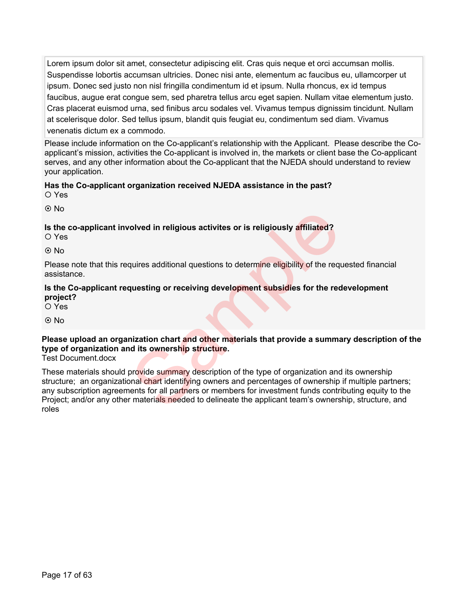Lorem ipsum dolor sit amet, consectetur adipiscing elit. Cras quis neque et orci accumsan mollis. Suspendisse lobortis accumsan ultricies. Donec nisi ante, elementum ac faucibus eu, ullamcorper ut ipsum. Donec sed justo non nisl fringilla condimentum id et ipsum. Nulla rhoncus, ex id tempus faucibus, augue erat congue sem, sed pharetra tellus arcu eget sapien. Nullam vitae elementum justo. Cras placerat euismod urna, sed finibus arcu sodales vel. Vivamus tempus dignissim tincidunt. Nullam at scelerisque dolor. Sed tellus ipsum, blandit quis feugiat eu, condimentum sed diam. Vivamus venenatis dictum ex a commodo.

Please include information on the Co-applicant's relationship with the Applicant. Please describe the Coapplicant's mission, activities the Co-applicant is involved in, the markets or client base the Co-applicant serves, and any other information about the Co-applicant that the NJEDA should understand to review your application.

### **Has the Co-applicant organization received NJEDA assistance in the past?** O Yes

⊙ No

### **Is the co-applicant involved in religious activites or is religiously affiliated?**

O Yes

 $O$  No

Please note that this requires additional questions to determine eligibility of the requested financial assistance.

### **Is the Co-applicant requesting or receiving development subsidies for the redevelopment project?**

O Yes

⊙ No

### **Please upload an organization chart and other materials that provide a summary description of the type of organization and its ownership structure.**

Test Document.docx

These materials should provide summary description of the type of organization and its ownership structure; an organizational chart identifying owners and percentages of ownership if multiple partners; any subscription agreements for all partners or members for investment funds contributing equity to the Project; and/or any other materials needed to delineate the applicant team's ownership, structure, and roles olved in religious activites or is religiously affiliated?<br>
applies additional questions to determine eligibility of the requesting or receiving development subsidies for the red<br>
pressure and the read of the read of the r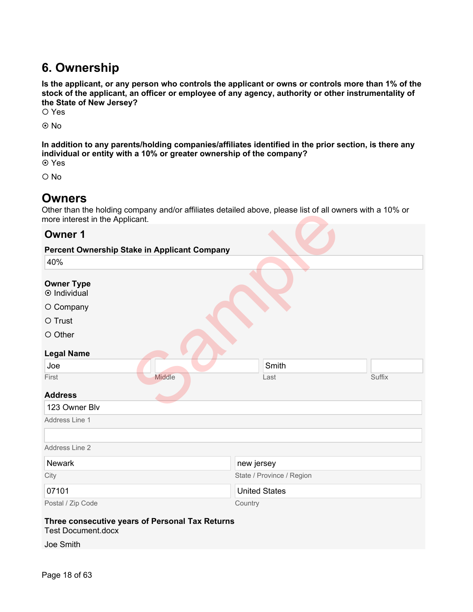# **6. Ownership**

**Is the applicant, or any person who controls the applicant or owns or controls more than 1% of the stock of the applicant, an officer or employee of any agency, authority or other instrumentality of the State of New Jersey?**

O Yes

No

**In addition to any parents/holding companies/affiliates identified in the prior section, is there any individual or entity with a 10% or greater ownership of the company?** Yes

O No

# **Owners**

Other than the holding company and/or affiliates detailed above, please list of all owners with a 10% or more interest in the Applicant.

### **Owner 1**

| Other than the holding company and/or anniates detailed above, please list of all owners with a 10% or<br>more interest in the Applicant. |                           |        |  |
|-------------------------------------------------------------------------------------------------------------------------------------------|---------------------------|--------|--|
| <b>Owner 1</b>                                                                                                                            |                           |        |  |
| <b>Percent Ownership Stake in Applicant Company</b>                                                                                       |                           |        |  |
| 40%                                                                                                                                       |                           |        |  |
| <b>Owner Type</b><br>$\odot$ Individual                                                                                                   |                           |        |  |
| O Company                                                                                                                                 |                           |        |  |
| O Trust                                                                                                                                   |                           |        |  |
| O Other                                                                                                                                   |                           |        |  |
| <b>Legal Name</b>                                                                                                                         |                           |        |  |
| Joe                                                                                                                                       | Smith                     |        |  |
| Middle<br>First                                                                                                                           | Last                      | Suffix |  |
| <b>Address</b>                                                                                                                            |                           |        |  |
| 123 Owner Blv                                                                                                                             |                           |        |  |
| Address Line 1                                                                                                                            |                           |        |  |
|                                                                                                                                           |                           |        |  |
| Address Line 2                                                                                                                            |                           |        |  |
| <b>Newark</b>                                                                                                                             | new jersey                |        |  |
| City                                                                                                                                      | State / Province / Region |        |  |
| 07101                                                                                                                                     | <b>United States</b>      |        |  |
| Postal / Zip Code                                                                                                                         | Country                   |        |  |
| Three consecutive years of Personal Tax Returns<br><b>Test Document.docx</b>                                                              |                           |        |  |

Joe Smith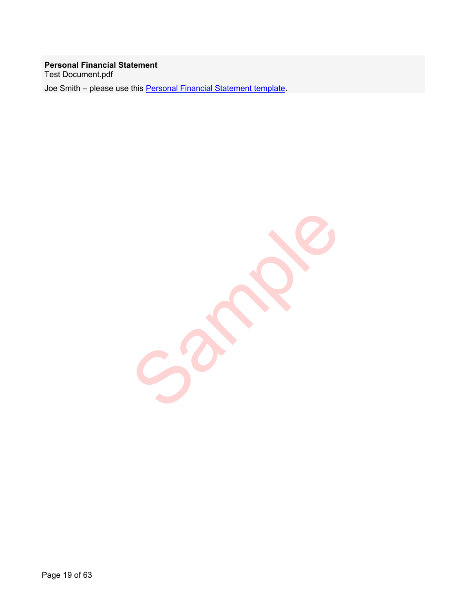### **Personal Financial Statement** Test Document.pdf

Joe Smith – please use this [Personal Financial Statement template](https://files.business.nj.gov/NJEDA/Emerge%20-%20Personal%20Financial%20Statement.pdf).

Sample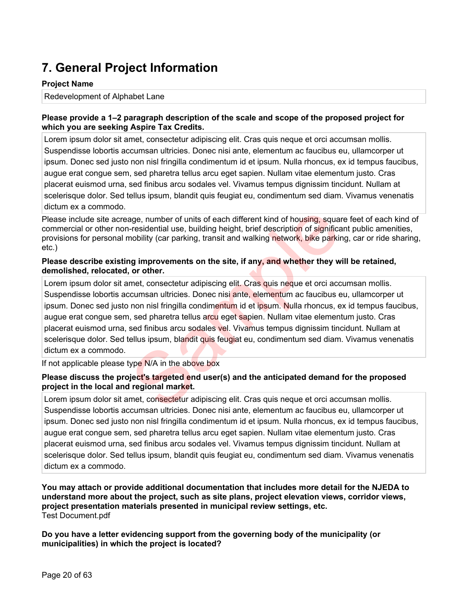# **7. General Project Information**

### **Project Name**

Redevelopment of Alphabet Lane

### **Please provide a 1–2 paragraph description of the scale and scope of the proposed project for which you are seeking Aspire Tax Credits.**

Lorem ipsum dolor sit amet, consectetur adipiscing elit. Cras quis neque et orci accumsan mollis. Suspendisse lobortis accumsan ultricies. Donec nisi ante, elementum ac faucibus eu, ullamcorper ut ipsum. Donec sed justo non nisl fringilla condimentum id et ipsum. Nulla rhoncus, ex id tempus faucibus, augue erat congue sem, sed pharetra tellus arcu eget sapien. Nullam vitae elementum justo. Cras placerat euismod urna, sed finibus arcu sodales vel. Vivamus tempus dignissim tincidunt. Nullam at scelerisque dolor. Sed tellus ipsum, blandit quis feugiat eu, condimentum sed diam. Vivamus venenatis dictum ex a commodo.

Please include site acreage, number of units of each different kind of housing, square feet of each kind of commercial or other non-residential use, building height, brief description of significant public amenities, provisions for personal mobility (car parking, transit and walking network, bike parking, car or ride sharing, etc.)

### **Please describe existing improvements on the site, if any, and whether they will be retained, demolished, relocated, or other.**

Lorem ipsum dolor sit amet, consectetur adipiscing elit. Cras quis neque et orci accumsan mollis. Suspendisse lobortis accumsan ultricies. Donec nisi ante, elementum ac faucibus eu, ullamcorper ut ipsum. Donec sed justo non nisl fringilla condimentum id et ipsum. Nulla rhoncus, ex id tempus faucibus, augue erat congue sem, sed pharetra tellus arcu eget sapien. Nullam vitae elementum justo. Cras placerat euismod urna, sed finibus arcu sodales vel. Vivamus tempus dignissim tincidunt. Nullam at scelerisque dolor. Sed tellus ipsum, blandit quis feugiat eu, condimentum sed diam. Vivamus venenatis dictum ex a commodo. age, number of units of each different kind of housing, square-residential use, building height, brief description of significanobility (car parking, transit and walking network, bike parking improvements on the site, if a

If not applicable please type N/A in the above box

### **Please discuss the project's targeted end user(s) and the anticipated demand for the proposed project in the local and regional market.**

Lorem ipsum dolor sit amet, consectetur adipiscing elit. Cras quis neque et orci accumsan mollis. Suspendisse lobortis accumsan ultricies. Donec nisi ante, elementum ac faucibus eu, ullamcorper ut ipsum. Donec sed justo non nisl fringilla condimentum id et ipsum. Nulla rhoncus, ex id tempus faucibus, augue erat congue sem, sed pharetra tellus arcu eget sapien. Nullam vitae elementum justo. Cras placerat euismod urna, sed finibus arcu sodales vel. Vivamus tempus dignissim tincidunt. Nullam at scelerisque dolor. Sed tellus ipsum, blandit quis feugiat eu, condimentum sed diam. Vivamus venenatis dictum ex a commodo.

**You may attach or provide additional documentation that includes more detail for the NJEDA to understand more about the project, such as site plans, project elevation views, corridor views, project presentation materials presented in municipal review settings, etc.** Test Document.pdf

**Do you have a letter evidencing support from the governing body of the municipality (or municipalities) in which the project is located?**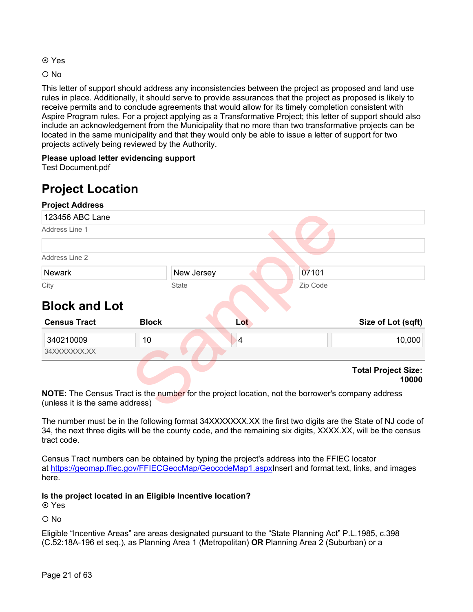- **⊙** Yes
- O No

This letter of support should address any inconsistencies between the project as proposed and land use rules in place. Additionally, it should serve to provide assurances that the project as proposed is likely to receive permits and to conclude agreements that would allow for its timely completion consistent with Aspire Program rules. For a project applying as a Transformative Project; this letter of support should also include an acknowledgement from the Municipality that no more than two transformative projects can be located in the same municipality and that they would only be able to issue a letter of support for two projects actively being reviewed by the Authority.

### **Please upload letter evidencing support**

Test Document.pdf

# **Project Location**



**NOTE:** The Census Tract is the number for the project location, not the borrower's company address (unless it is the same address)

The number must be in the following format 34XXXXXXX.XX the first two digits are the State of NJ code of 34, the next three digits will be the county code, and the remaining six digits, XXXX.XX, will be the census tract code.

Census Tract numbers can be obtained by typing the project's address into the FFIEC locator at [https://geomap.ffiec.gov/FFIECGeocMap/GeocodeMap1.aspxI](https://geomap.ffiec.gov/FFIECGeocMap/GeocodeMap1.aspx)nsert and format text, links, and images here.

**Is the project located in an Eligible Incentive location?**

**⊙** Yes

O No

Eligible "Incentive Areas" are areas designated pursuant to the "State Planning Act" P.L.1985, c.398 (C.52:18A-196 et seq.), as Planning Area 1 (Metropolitan) **OR** Planning Area 2 (Suburban) or a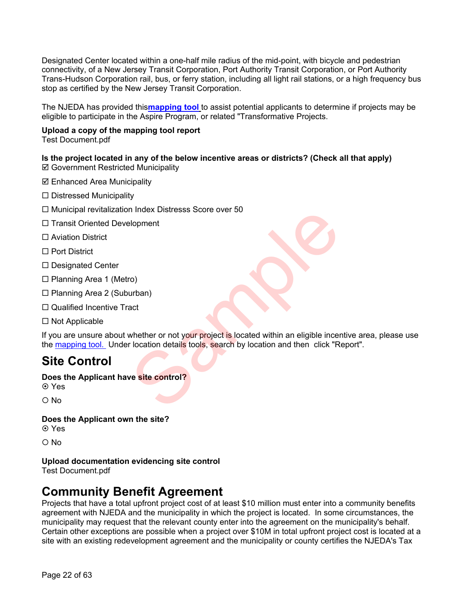Designated Center located within a one-half mile radius of the mid-point, with bicycle and pedestrian connectivity, of a New Jersey Transit Corporation, Port Authority Transit Corporation, or Port Authority Trans-Hudson Corporation rail, bus, or ferry station, including all light rail stations, or a high frequency bus stop as certified by the New Jersey Transit Corporation.

The NJEDA has provided this**[mapping tool](https://njeda.maps.arcgis.com/apps/webappviewer/index.html?id=b32ea4347e6a4403a36859e6ee6e5c0a)** to assist potential applicants to determine if projects may be eligible to participate in the Aspire Program, or related "Transformative Projects.

### **Upload a copy of the mapping tool report**

Test Document.pdf

### **Is the project located in any of the below incentive areas or districts? (Check all that apply)**

- Government Restricted Municipality
- $\boxtimes$  **Enhanced Area Municipality**
- $\square$  Distressed Municipality
- $\Box$  Municipal revitalization Index Distresss Score over 50
- $\Box$  Transit Oriented Development
- □ Aviation District
- □ Port District
- $\square$  Designated Center
- $\Box$  Planning Area 1 (Metro)
- □ Planning Area 2 (Suburban)
- □ Qualified Incentive Tract
- $\square$  Not Applicable

If you are unsure about whether or not your project is located within an eligible incentive area, please use the [mapping tool.](https://njeda.maps.arcgis.com/apps/webappviewer/index.html?id=b32ea4347e6a4403a36859e6ee6e5c0a) Under location details tools, search by location and then click "Report". resultants and the control of the control of the control of the control of the control of the control of the control of the control of the control of the control of the control of the control of the control of the control

# **Site Control**

### **Does the Applicant have site control?**

**⊙** Yes

O No

### **Does the Applicant own the site?**

**⊙** Yes

O No

### **Upload documentation evidencing site control**

Test Document.pdf

# **Community Benefit Agreement**

Projects that have a total upfront project cost of at least \$10 million must enter into a community benefits agreement with NJEDA and the municipality in which the project is located. In some circumstances, the municipality may request that the relevant county enter into the agreement on the municipality's behalf. Certain other exceptions are possible when a project over \$10M in total upfront project cost is located at a site with an existing redevelopment agreement and the municipality or county certifies the NJEDA's Tax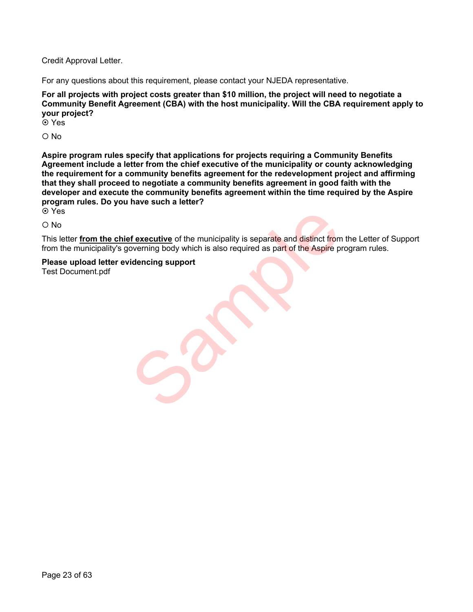Credit Approval Letter.

For any questions about this requirement, please contact your NJEDA representative.

**For all projects with project costs greater than \$10 million, the project will need to negotiate a Community Benefit Agreement (CBA) with the host municipality. Will the CBA requirement apply to your project?** 

**⊙** Yes

 $O$  No

**Aspire program rules specify that applications for projects requiring a Community Benefits Agreement include a letter from the chief executive of the municipality or county acknowledging the requirement for a community benefits agreement for the redevelopment project and affirming that they shall proceed to negotiate a community benefits agreement in good faith with the developer and execute the community benefits agreement within the time required by the Aspire program rules. Do you have such a letter? ⊙** Yes

O No

This letter **from the chief executive** of the municipality is separate and distinct from the Letter of Support from the municipality's governing body which is also required as part of the Aspire program rules. of executive of the municipality is separate and distinct from<br>overning body which is also required as part of the Aspire p<br>idencing support

**Please upload letter evidencing support** 

Test Document.pdf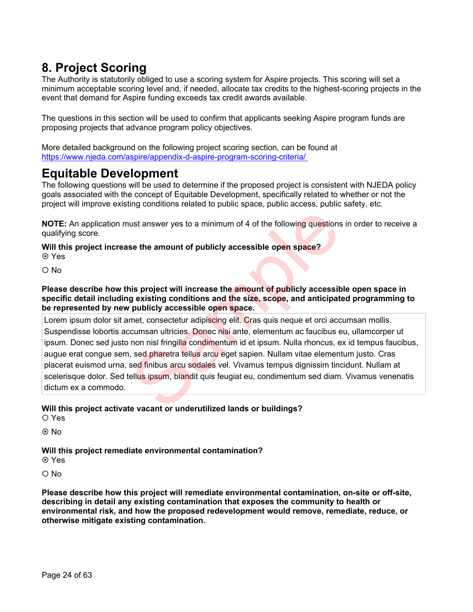# **8. Project Scoring**

The Authority is statutorily obliged to use a scoring system for Aspire projects. This scoring will set a minimum acceptable scoring level and, if needed, allocate tax credits to the highest-scoring projects in the event that demand for Aspire funding exceeds tax credit awards available.

The questions in this section will be used to confirm that applicants seeking Aspire program funds are proposing projects that advance program policy objectives.

More detailed background on the following project scoring section, can be found at <https://www.njeda.com/aspire/appendix-d-aspire-program-scoring-criteria/>

# **Equitable Development**

The following questions will be used to determine if the proposed project is consistent with NJEDA policy goals associated with the concept of Equitable Development, specifically related to whether or not the project will improve existing conditions related to public space, public access, public safety, etc.

**NOTE:** An application must answer yes to a minimum of 4 of the following questions in order to receive a qualifying score.

**Will this project increase the amount of publicly accessible open space?**  Yes

O No

**Please describe how this project will increase the amount of publicly accessible open space in specific detail including existing conditions and the size, scope, and anticipated programming to be represented by new publicly accessible open space.**

Lorem ipsum dolor sit amet, consectetur adipiscing elit. Cras quis neque et orci accumsan mollis. Suspendisse lobortis accumsan ultricies. Donec nisi ante, elementum ac faucibus eu, ullamcorper ut ipsum. Donec sed justo non nisl fringilla condimentum id et ipsum. Nulla rhoncus, ex id tempus faucibus, augue erat congue sem, sed pharetra tellus arcu eget sapien. Nullam vitae elementum justo. Cras placerat euismod urna, sed finibus arcu sodales vel. Vivamus tempus dignissim tincidunt. Nullam at scelerisque dolor. Sed tellus ipsum, blandit quis feugiat eu, condimentum sed diam. Vivamus venenatis dictum ex a commodo. ust answer yes to a minimum of 4 of the following questions<br>se the amount of publicly accessible open space?<br>is project will increase the amount of publicly accessible<br>gexisting conditions and the size, scope, and anticipa

### **Will this project activate vacant or underutilized lands or buildings?**

Yes

© No

### **Will this project remediate environmental contamination?**

**⊙** Yes

O No

**Please describe how this project will remediate environmental contamination, on-site or off-site, describing in detail any existing contamination that exposes the community to health or environmental risk, and how the proposed redevelopment would remove, remediate, reduce, or otherwise mitigate existing contamination.**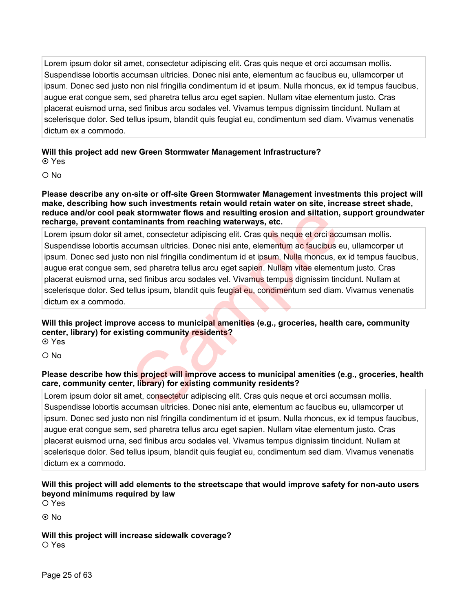Lorem ipsum dolor sit amet, consectetur adipiscing elit. Cras quis neque et orci accumsan mollis. Suspendisse lobortis accumsan ultricies. Donec nisi ante, elementum ac faucibus eu, ullamcorper ut ipsum. Donec sed justo non nisl fringilla condimentum id et ipsum. Nulla rhoncus, ex id tempus faucibus, augue erat congue sem, sed pharetra tellus arcu eget sapien. Nullam vitae elementum justo. Cras placerat euismod urna, sed finibus arcu sodales vel. Vivamus tempus dignissim tincidunt. Nullam at scelerisque dolor. Sed tellus ipsum, blandit quis feugiat eu, condimentum sed diam. Vivamus venenatis dictum ex a commodo.

### **Will this project add new Green Stormwater Management Infrastructure?**

**⊙** Yes

O No

**Please describe any on-site or off-site Green Stormwater Management investments this project will make, describing how such investments retain would retain water on site, increase street shade, reduce and/or cool peak stormwater flows and resulting erosion and siltation, support groundwater recharge, prevent contaminants from reaching waterways, etc.**

Lorem ipsum dolor sit amet, consectetur adipiscing elit. Cras quis neque et orci accumsan mollis. Suspendisse lobortis accumsan ultricies. Donec nisi ante, elementum ac faucibus eu, ullamcorper ut ipsum. Donec sed justo non nisl fringilla condimentum id et ipsum. Nulla rhoncus, ex id tempus faucibus, augue erat congue sem, sed pharetra tellus arcu eget sapien. Nullam vitae elementum justo. Cras placerat euismod urna, sed finibus arcu sodales vel. Vivamus tempus dignissim tincidunt. Nullam at scelerisque dolor. Sed tellus ipsum, blandit quis feugiat eu, condimentum sed diam. Vivamus venenatis dictum ex a commodo. In strategy and resulting erosion and siltation,<br>aminants from reaching waterways, etc.<br>met, consectetur adipiscing elit. Cras quis neque et orci acc<br>ccumsan ultricies. Donec nisi ante, elementum ac faucibus e<br>non nisi fri

### **Will this project improve access to municipal amenities (e.g., groceries, health care, community center, library) for existing community residents?**

**⊙** Yes

 $\Omega$  No

### **Please describe how this project will improve access to municipal amenities (e.g., groceries, health care, community center, library) for existing community residents?**

Lorem ipsum dolor sit amet, consectetur adipiscing elit. Cras quis neque et orci accumsan mollis. Suspendisse lobortis accumsan ultricies. Donec nisi ante, elementum ac faucibus eu, ullamcorper ut ipsum. Donec sed justo non nisl fringilla condimentum id et ipsum. Nulla rhoncus, ex id tempus faucibus, augue erat congue sem, sed pharetra tellus arcu eget sapien. Nullam vitae elementum justo. Cras placerat euismod urna, sed finibus arcu sodales vel. Vivamus tempus dignissim tincidunt. Nullam at scelerisque dolor. Sed tellus ipsum, blandit quis feugiat eu, condimentum sed diam. Vivamus venenatis dictum ex a commodo.

### **Will this project will add elements to the streetscape that would improve safety for non-auto users beyond minimums required by law**

O Yes

⊙ No

**Will this project will increase sidewalk coverage?** O Yes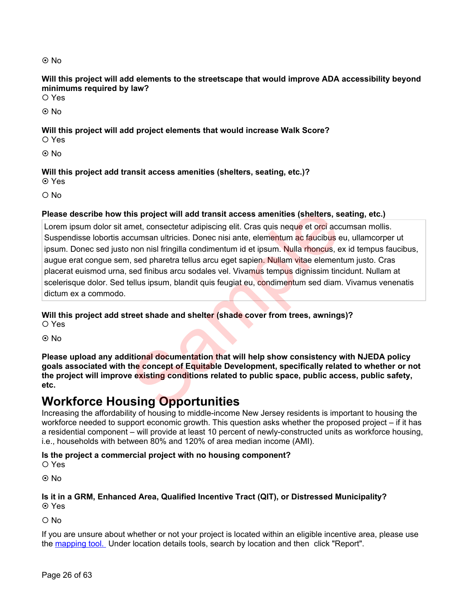### © No

**Will this project will add elements to the streetscape that would improve ADA accessibility beyond minimums required by law?**

O Yes

No

**Will this project will add project elements that would increase Walk Score?**

Yes

© No

### **Will this project add transit access amenities (shelters, seating, etc.)?**

**⊙** Yes

O No

### **Please describe how this project will add transit access amenities (shelters, seating, etc.)**

Lorem ipsum dolor sit amet, consectetur adipiscing elit. Cras quis neque et orci accumsan mollis. Suspendisse lobortis accumsan ultricies. Donec nisi ante, elementum ac faucibus eu, ullamcorper ut ipsum. Donec sed justo non nisl fringilla condimentum id et ipsum. Nulla rhoncus, ex id tempus faucibus, augue erat congue sem, sed pharetra tellus arcu eget sapien. Nullam vitae elementum justo. Cras placerat euismod urna, sed finibus arcu sodales vel. Vivamus tempus dignissim tincidunt. Nullam at scelerisque dolor. Sed tellus ipsum, blandit quis feugiat eu, condimentum sed diam. Vivamus venenatis dictum ex a commodo. nis project will add transit access amenities (shelters, street, consectetur adipiscing elit. Cras quis neque et ord accromeran ultricies. Donec nisi ante, elementum ac faucibus e non nisi fringilla condimentum id et ipsum

### **Will this project add street shade and shelter (shade cover from trees, awnings)?**

Yes

No

**Please upload any additional documentation that will help show consistency with NJEDA policy goals associated with the concept of Equitable Development, specifically related to whether or not the project will improve existing conditions related to public space, public access, public safety, etc.**

# **Workforce Housing Opportunities**

Increasing the affordability of housing to middle-income New Jersey residents is important to housing the workforce needed to support economic growth. This question asks whether the proposed project – if it has a residential component – will provide at least 10 percent of newly-constructed units as workforce housing, i.e., households with between 80% and 120% of area median income (AMI).

### **Is the project a commercial project with no housing component?**

O Yes

® No

### **Is it in a GRM, Enhanced Area, Qualified Incentive Tract (QIT), or Distressed Municipality?** Yes

O No

If you are unsure about whether or not your project is located within an eligible incentive area, please use the [mapping tool.](https://njeda.maps.arcgis.com/apps/webappviewer/index.html?id=b32ea4347e6a4403a36859e6ee6e5c0a) Under location details tools, search by location and then click "Report".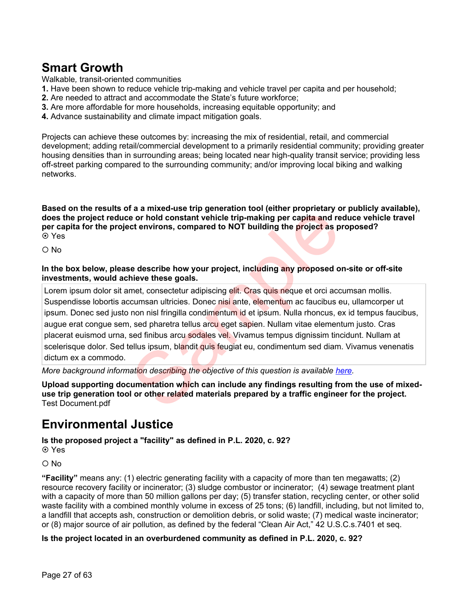# **Smart Growth**

Walkable*,* transit-oriented communities

- **1.** Have been shown to reduce vehicle trip-making and vehicle travel per capita and per household;
- **2.** Are needed to attract and accommodate the State's future workforce;
- **3.** Are more affordable for more households, increasing equitable opportunity; and
- **4.** Advance sustainability and climate impact mitigation goals.

Projects can achieve these outcomes by: increasing the mix of residential, retail, and commercial development; adding retail/commercial development to a primarily residential community; providing greater housing densities than in surrounding areas; being located near high-quality transit service; providing less off-street parking compared to the surrounding community; and/or improving local biking and walking networks.

**Based on the results of a a mixed-use trip generation tool (either proprietary or publicly available), does the project reduce or hold constant vehicle trip-making per capita and reduce vehicle travel per capita for the project environs, compared to NOT building the project as proposed?** Yes

 $\Omega$  No

**In the box below, please describe how your project, including any proposed on-site or off-site investments, would achieve these goals.**

Lorem ipsum dolor sit amet, consectetur adipiscing elit. Cras quis neque et orci accumsan mollis. Suspendisse lobortis accumsan ultricies. Donec nisi ante, elementum ac faucibus eu, ullamcorper ut ipsum. Donec sed justo non nisl fringilla condimentum id et ipsum. Nulla rhoncus, ex id tempus faucibus, augue erat congue sem, sed pharetra tellus arcu eget sapien. Nullam vitae elementum justo. Cras placerat euismod urna, sed finibus arcu sodales vel. Vivamus tempus dignissim tincidunt. Nullam at scelerisque dolor. Sed tellus ipsum, blandit quis feugiat eu, condimentum sed diam. Vivamus venenatis dictum ex a commodo. The animation which can include any findings resulting the correlation of the error hold constant vehicle trip-making per capita and rect environs, compared to NOT building the project as per describe how your project, inc

*More background information describing the objective of this question is available [here.](https://1e7pr71cey5c3ol2neoaoz31-wpengine.netdna-ssl.com/wp-content/uploads/2021/11/Appendix-D%E2%80%93-Aspire-Program-Scoring-Criteria.pdf)* 

**Upload supporting documentation which can include any findings resulting from the use of mixeduse trip generation tool or other related materials prepared by a traffic engineer for the project.** Test Document.pdf

# **Environmental Justice**

**Is the proposed project a "facility" as defined in P.L. 2020, c. 92?**

**⊙** Yes

 $\bigcirc$  No

**"Facility"** means any: (1) electric generating facility with a capacity of more than ten megawatts; (2) resource recovery facility or incinerator; (3) sludge combustor or incinerator; (4) sewage treatment plant with a capacity of more than 50 million gallons per day; (5) transfer station, recycling center, or other solid waste facility with a combined monthly volume in excess of 25 tons; (6) landfill, including, but not limited to, a landfill that accepts ash, construction or demolition debris, or solid waste; (7) medical waste incinerator; or (8) major source of air pollution, as defined by the federal "Clean Air Act," 42 U.S.C.s.7401 et seq.

### **Is the project located in an overburdened community as defined in P.L. 2020, c. 92?**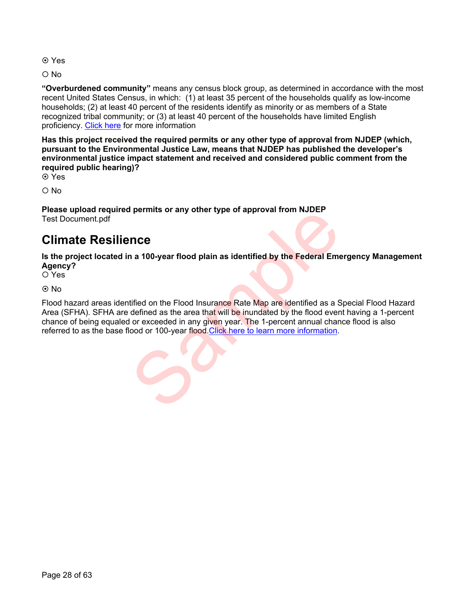- **⊙** Yes
- O No

**"Overburdened community"** means any census block group, as determined in accordance with the most recent United States Census, in which: (1) at least 35 percent of the households qualify as low-income households; (2) at least 40 percent of the residents identify as minority or as members of a State recognized tribal community; or (3) at least 40 percent of the households have limited English proficiency. [Click here](https://www.njleg.state.nj.us/2020/Bills/PL20/92_.HTM) for more information

**Has this project received the required permits or any other type of approval from NJDEP (which, pursuant to the Environmental Justice Law, means that NJDEP has published the developer's environmental justice impact statement and received and considered public comment from the required public hearing)?**

Yes

 $O$  No

**Please upload required permits or any other type of approval from NJDEP**  Test Document.pdf

# **Climate Resilience**

**Is the project located in a 100-year flood plain as identified by the Federal Emergency Management Agency?** 

Yes

© No

Flood hazard areas identified on the Flood Insurance Rate Map are identified as a Special Flood Hazard Area (SFHA). SFHA are defined as the area that will be inundated by the flood event having a 1-percent chance of being equaled or exceeded in any given year. The 1-percent annual chance flood is also referred to as the base flood or 100-year flood.Click here to learn more information. The permits or any other type or approval from NJJLP<br>
The a 100-year flood plain as identified by the Federal Emergency<br>
tified on the Flood Insurance Rate Map are identified as a S<br>
defined as the area that will be inunda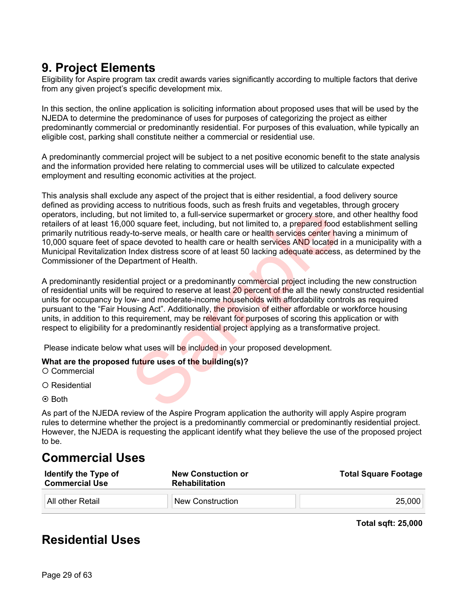# **9. Project Elements**

Eligibility for Aspire program tax credit awards varies significantly according to multiple factors that derive from any given project's specific development mix.

In this section, the online application is soliciting information about proposed uses that will be used by the NJEDA to determine the predominance of uses for purposes of categorizing the project as either predominantly commercial or predominantly residential. For purposes of this evaluation, while typically an eligible cost, parking shall constitute neither a commercial or residential use.

A predominantly commercial project will be subject to a net positive economic benefit to the state analysis and the information provided here relating to commercial uses will be utilized to calculate expected employment and resulting economic activities at the project.

This analysis shall exclude any aspect of the project that is either residential, a food delivery source defined as providing access to nutritious foods, such as fresh fruits and vegetables, through grocery operators, including, but not limited to, a full-service supermarket or grocery store, and other healthy food retailers of at least 16,000 square feet, including, but not limited to, a prepared food establishment selling primarily nutritious ready-to-serve meals, or health care or health services center having a minimum of 10,000 square feet of space devoted to health care or health services AND located in a municipality with a Municipal Revitalization Index distress score of at least 50 lacking adequate access, as determined by the Commissioner of the Department of Health. not limited to, a full-service supermarket or grocery store, a<br>
not square feet, including, but not limited to, a prepared food<br>
r-to-serve meals, or health care or health services center ha<br>
ace devoted to health care or

A predominantly residential project or a predominantly commercial project including the new construction of residential units will be required to reserve at least 20 percent of the all the newly constructed residential units for occupancy by low- and moderate-income households with affordability controls as required pursuant to the "Fair Housing Act". Additionally, the provision of either affordable or workforce housing units, in addition to this requirement, may be relevant for purposes of scoring this application or with respect to eligibility for a predominantly residential project applying as a transformative project.

Please indicate below what uses will be included in your proposed development.

### **What are the proposed future uses of the building(s)?**

O Commercial

O Residential

**⊙** Both

As part of the NJEDA review of the Aspire Program application the authority will apply Aspire program rules to determine whether the project is a predominantly commercial or predominantly residential project. However, the NJEDA is requesting the applicant identify what they believe the use of the proposed project to be.

# **Commercial Uses**

| <b>Identify the Type of</b><br><b>Commercial Use</b> | <b>New Constuction or</b><br><b>Rehabilitation</b> | <b>Total Square Footage</b> |
|------------------------------------------------------|----------------------------------------------------|-----------------------------|
| ਾAll other Retail                                    | <sup>¶</sup> New Construction                      | 25,000                      |

**Total sqft: 25,000**

# **Residential Uses**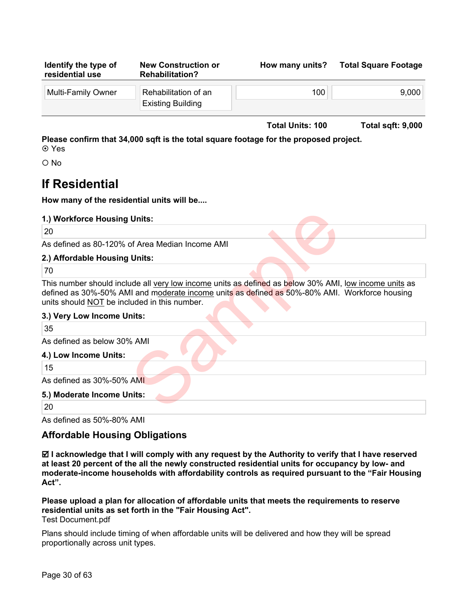| Identify the type of<br>residential use | <b>New Construction or</b><br><b>Rehabilitation?</b> | How many units? | <b>Total Square Footage</b> |
|-----------------------------------------|------------------------------------------------------|-----------------|-----------------------------|
| <b>Multi-Family Owner</b>               | Rehabilitation of an<br><b>Existing Building</b>     | 100             | 9,000                       |

**Total Units: 100 Total sqft: 9,000**

**Please confirm that 34,000 sqft is the total square footage for the proposed project.**  Yes

O No

# **If Residential**

**How many of the residential units will be....**

| 1.) Workforce Housing Units: |  |
|------------------------------|--|
|------------------------------|--|

20

As defined as 80-120% of Area Median Income AMI

### **2.) Affordable Housing Units:**

70

This number should include all very low income units as defined as below 30% AMI, low income units as defined as 30%-50% AMI and moderate income units as defined as 50%-80% AMI. Workforce housing units should NOT be included in this number. Units:<br>
Sof Area Median Income AMI<br>
Units:<br>
ude all <u>very low income</u> units as defined as below 30% AMI,<br>
Il and moderate income units as defined as 50%-80% AMI.<br>
uded in this number.<br>
ints:<br>
4 AMI<br>
AMI<br>
Inits:

### **3.) Very Low Income Units:**

35

As defined as below 30% AMI

### **4.) Low Income Units:**

15

As defined as 30%-50% AMI

### **5.) Moderate Income Units:**

20

As defined as 50%-80% AMI

### **Affordable Housing Obligations**

 **I acknowledge that I will comply with any request by the Authority to verify that I have reserved at least 20 percent of the all the newly constructed residential units for occupancy by low- and moderate-income households with affordability controls as required pursuant to the "Fair Housing Act".** 

### **Please upload a plan for allocation of affordable units that meets the requirements to reserve residential units as set forth in the "Fair Housing Act".**  Test Document.pdf

Plans should include timing of when affordable units will be delivered and how they will be spread proportionally across unit types.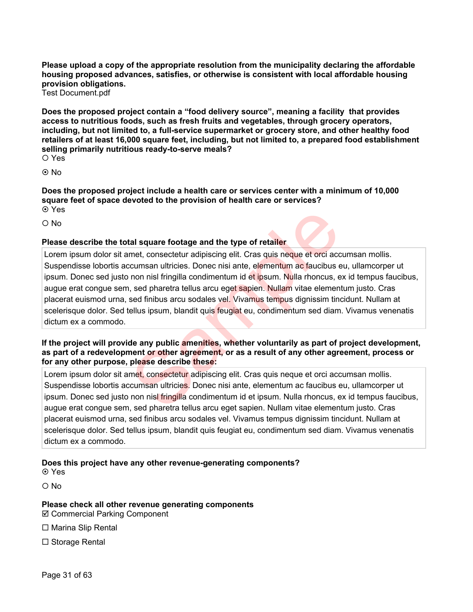**Please upload a copy of the appropriate resolution from the municipality declaring the affordable housing proposed advances, satisfies, or otherwise is consistent with local affordable housing provision obligations.**

Test Document.pdf

**Does the proposed project contain a "food delivery source", meaning a facility that provides access to nutritious foods, such as fresh fruits and vegetables, through grocery operators, including, but not limited to, a full-service supermarket or grocery store, and other healthy food retailers of at least 16,000 square feet, including, but not limited to, a prepared food establishment selling primarily nutritious ready-to-serve meals?** Yes

<u>⊚ No</u>

**Does the proposed project include a health care or services center with a minimum of 10,000 square feet of space devoted to the provision of health care or services? ⊙** Yes

O No

### **Please describe the total square footage and the type of retailer**

Lorem ipsum dolor sit amet, consectetur adipiscing elit. Cras quis neque et orci accumsan mollis. Suspendisse lobortis accumsan ultricies. Donec nisi ante, elementum ac faucibus eu, ullamcorper ut ipsum. Donec sed justo non nisl fringilla condimentum id et ipsum. Nulla rhoncus, ex id tempus faucibus, augue erat congue sem, sed pharetra tellus arcu eget sapien. Nullam vitae elementum justo. Cras placerat euismod urna, sed finibus arcu sodales vel. Vivamus tempus dignissim tincidunt. Nullam at scelerisque dolor. Sed tellus ipsum, blandit quis feugiat eu, condimentum sed diam. Vivamus venenatis dictum ex a commodo. al square footage and the type of retailer<br>met, consectetur adipiscing elit. Cras quis neque et orci acc<br>cumsan ultricies. Donec nisi ante, elementum ac faucibus e<br>non nisl fringilla condimentum id et ipsum. Nulla moncus,

**If the project will provide any public amenities, whether voluntarily as part of project development, as part of a redevelopment or other agreement, or as a result of any other agreement, process or for any other purpose, please describe these:**

Lorem ipsum dolor sit amet, consectetur adipiscing elit. Cras quis neque et orci accumsan mollis. Suspendisse lobortis accumsan ultricies. Donec nisi ante, elementum ac faucibus eu, ullamcorper ut ipsum. Donec sed justo non nisl fringilla condimentum id et ipsum. Nulla rhoncus, ex id tempus faucibus, augue erat congue sem, sed pharetra tellus arcu eget sapien. Nullam vitae elementum justo. Cras placerat euismod urna, sed finibus arcu sodales vel. Vivamus tempus dignissim tincidunt. Nullam at scelerisque dolor. Sed tellus ipsum, blandit quis feugiat eu, condimentum sed diam. Vivamus venenatis dictum ex a commodo.

**Does this project have any other revenue-generating components?**

Yes

 $\Omega$  No

**Please check all other revenue generating components**   $\boxtimes$  **Commercial Parking Component** 

 $\Box$  Marina Slip Rental

 $\Box$  Storage Rental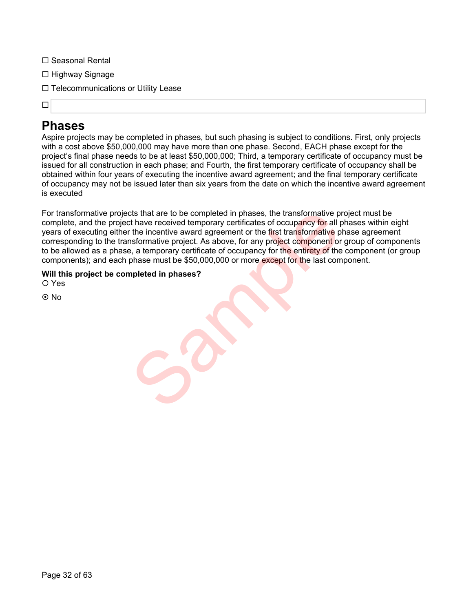- □ Seasonal Rental
- $\Box$  Highway Signage
- $\Box$  Telecommunications or Utility Lease

### $\Box$

# **Phases**

Aspire projects may be completed in phases, but such phasing is subject to conditions. First, only projects with a cost above \$50,000,000 may have more than one phase. Second, EACH phase except for the project's final phase needs to be at least \$50,000,000; Third, a temporary certificate of occupancy must be issued for all construction in each phase; and Fourth, the first temporary certificate of occupancy shall be obtained within four years of executing the incentive award agreement; and the final temporary certificate of occupancy may not be issued later than six years from the date on which the incentive award agreement is executed

For transformative projects that are to be completed in phases, the transformative project must be complete, and the project have received temporary certificates of occupancy for all phases within eight years of executing either the incentive award agreement or the first transformative phase agreement corresponding to the transformative project. As above, for any project component or group of components to be allowed as a phase, a temporary certificate of occupancy for the entirety of the component (or group components); and each phase must be \$50,000,000 or more except for the last component. city that are to be completed in phases, the transformative pit have received temporary certificates of occupancy for all proteins the first transformative proteins on the first transformative proporative proporative compo

**Will this project be completed in phases?**

Yes

No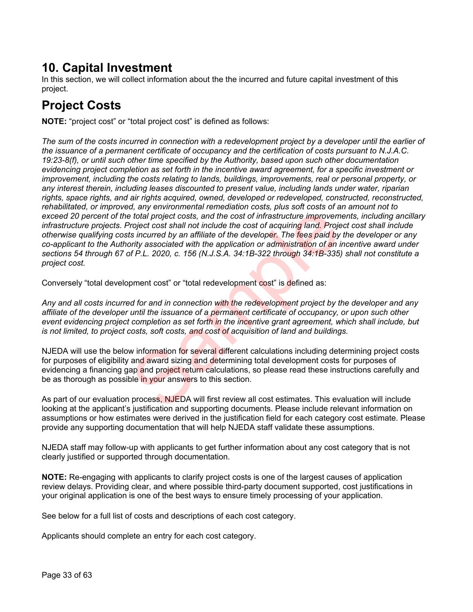# **10. Capital Investment**

In this section, we will collect information about the the incurred and future capital investment of this project.

# **Project Costs**

**NOTE:** "project cost" or "total project cost" is defined as follows:

*The sum of the costs incurred in connection with a redevelopment project by a developer until the earlier of the issuance of a permanent certificate of occupancy and the certification of costs pursuant to N.J.A.C. 19:23-8(f), or until such other time specified by the Authority, based upon such other documentation evidencing project completion as set forth in the incentive award agreement, for a specific investment or improvement, including the costs relating to lands, buildings, improvements, real or personal property, or any interest therein, including leases discounted to present value, including lands under water, riparian rights, space rights, and air rights acquired, owned, developed or redeveloped, constructed, reconstructed, rehabilitated, or improved, any environmental remediation costs, plus soft costs of an amount not to exceed 20 percent of the total project costs, and the cost of infrastructure improvements, including ancillary infrastructure projects. Project cost shall not include the cost of acquiring land. Project cost shall include otherwise qualifying costs incurred by an affiliate of the developer. The fees paid by the developer or any co-applicant to the Authority associated with the application or administration of an incentive award under sections 54 through 67 of P.L. 2020, c. 156 (N.J.S.A. 34:1B-322 through 34:1B-335) shall not constitute a project cost.* et total project costs, and the cost of infrastructure improvem<br>
to total project costs, and the cost of infrastructure improvem<br>
roject cost shall not include the cost of acquiring land. Project<br>
sincurred by an affiliate

Conversely "total development cost" or "total redevelopment cost" is defined as:

*Any and all costs incurred for and in connection with the redevelopment project by the developer and any affiliate of the developer until the issuance of a permanent certificate of occupancy, or upon such other event evidencing project completion as set forth in the incentive grant agreement, which shall include, but is not limited, to project costs, soft costs, and cost of acquisition of land and buildings.*

NJEDA will use the below information for several different calculations including determining project costs for purposes of eligibility and award sizing and determining total development costs for purposes of evidencing a financing gap and project return calculations, so please read these instructions carefully and be as thorough as possible in your answers to this section.

As part of our evaluation process, NJEDA will first review all cost estimates. This evaluation will include looking at the applicant's justification and supporting documents. Please include relevant information on assumptions or how estimates were derived in the justification field for each category cost estimate. Please provide any supporting documentation that will help NJEDA staff validate these assumptions.

NJEDA staff may follow-up with applicants to get further information about any cost category that is not clearly justified or supported through documentation.

**NOTE:** Re-engaging with applicants to clarify project costs is one of the largest causes of application review delays. Providing clear, and where possible third-party document supported, cost justifications in your original application is one of the best ways to ensure timely processing of your application.

See below for a full list of costs and descriptions of each cost category.

Applicants should complete an entry for each cost category.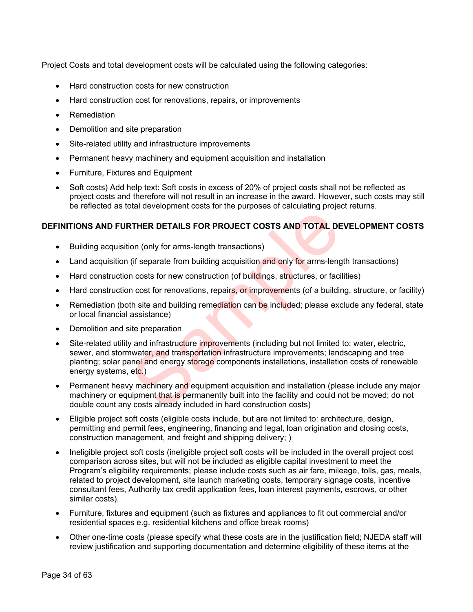Project Costs and total development costs will be calculated using the following categories:

- Hard construction costs for new construction
- Hard construction cost for renovations, repairs, or improvements
- Remediation
- Demolition and site preparation
- Site-related utility and infrastructure improvements
- Permanent heavy machinery and equipment acquisition and installation
- Furniture, Fixtures and Equipment
- Soft costs) Add help text: Soft costs in excess of 20% of project costs shall not be reflected as project costs and therefore will not result in an increase in the award. However, such costs may still be reflected as total development costs for the purposes of calculating project returns.

### **DEFINITIONS AND FURTHER DETAILS FOR PROJECT COSTS AND TOTAL DEVELOPMENT COSTS**

- Building acquisition (only for arms-length transactions)
- Land acquisition (if separate from building acquisition and only for arms-length transactions)
- Hard construction costs for new construction (of buildings, structures, or facilities)
- Hard construction cost for renovations, repairs, or improvements (of a building, structure, or facility)
- Remediation (both site and building remediation can be included; please exclude any federal, state or local financial assistance)
- Demolition and site preparation
- Site-related utility and infrastructure improvements (including but not limited to: water, electric, sewer, and stormwater, and transportation infrastructure improvements; landscaping and tree planting; solar panel and energy storage components installations, installation costs of renewable energy systems, etc.) **EXTHER DETAILS FOR PROJECT COSTS AND TOTAL DE**<br>
(if separate from building acquisition and only for arms-leng<br>
in costs for new construction (of buildings, structures, or faci<br>
in costs for new construction (of buildings,
- Permanent heavy machinery and equipment acquisition and installation (please include any major machinery or equipment that is permanently built into the facility and could not be moved; do not double count any costs already included in hard construction costs)
- Eligible project soft costs (eligible costs include, but are not limited to: architecture, design, permitting and permit fees, engineering, financing and legal, loan origination and closing costs, construction management, and freight and shipping delivery; )
- Ineligible project soft costs (ineligible project soft costs will be included in the overall project cost comparison across sites, but will not be included as eligible capital investment to meet the Program's eligibility requirements; please include costs such as air fare, mileage, tolls, gas, meals, related to project development, site launch marketing costs, temporary signage costs, incentive consultant fees, Authority tax credit application fees, loan interest payments, escrows, or other similar costs).
- Furniture, fixtures and equipment (such as fixtures and appliances to fit out commercial and/or residential spaces e.g. residential kitchens and office break rooms)
- Other one-time costs (please specify what these costs are in the justification field; NJEDA staff will review justification and supporting documentation and determine eligibility of these items at the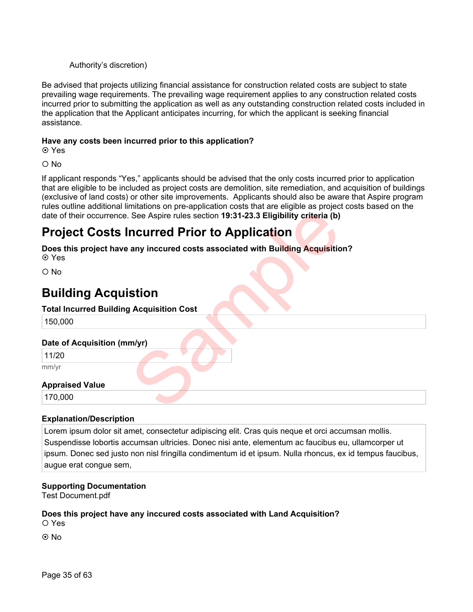### Authority's discretion)

Be advised that projects utilizing financial assistance for construction related costs are subject to state prevailing wage requirements. The prevailing wage requirement applies to any construction related costs incurred prior to submitting the application as well as any outstanding construction related costs included in the application that the Applicant anticipates incurring, for which the applicant is seeking financial assistance.

### **Have any costs been incurred prior to this application?**

Yes

O No

If applicant responds "Yes," applicants should be advised that the only costs incurred prior to application that are eligible to be included as project costs are demolition, site remediation, and acquisition of buildings (exclusive of land costs) or other site improvements. Applicants should also be aware that Aspire program rules outline additional limitations on pre-application costs that are eligible as project costs based on the date of their occurrence. See Aspire rules section **19:31-23.3 Eligibility criteria (b)**

# **Project Costs Incurred Prior to Application**

**Does this project have any inccured costs associated with Building Acquisition?** Yes See Aspire rules section 19:31-23.3 Eligibility criteria (b)<br> **ncurred Prior to Application**<br>
any inccured costs associated with Building Acquisitio<br>
stion<br>
Acquisition Cost<br>
The Management of Application<br>
Management of Ap

O No

# **Building Acquistion**

### **Total Incurred Building Acquisition Cost**

150,000

### **Date of Acquisition (mm/yr)**

11/20

mm/yr

### **Appraised Value**

170,000

### **Explanation/Description**

Lorem ipsum dolor sit amet, consectetur adipiscing elit. Cras quis neque et orci accumsan mollis. Suspendisse lobortis accumsan ultricies. Donec nisi ante, elementum ac faucibus eu, ullamcorper ut ipsum. Donec sed justo non nisl fringilla condimentum id et ipsum. Nulla rhoncus, ex id tempus faucibus, augue erat congue sem,

### **Supporting Documentation**

Test Document.pdf

### **Does this project have any inccured costs associated with Land Acquisition?**

O Yes

© No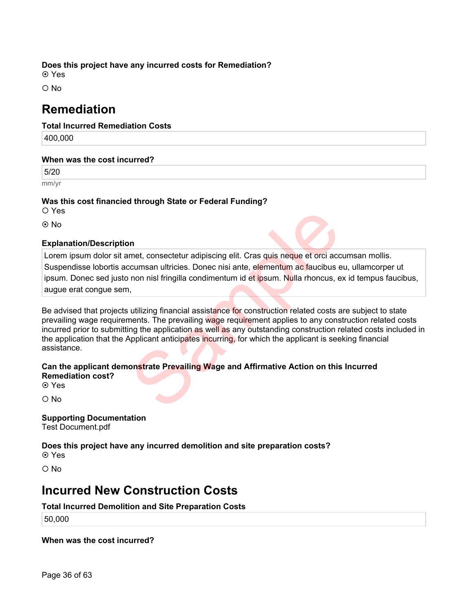### **Does this project have any incurred costs for Remediation?**

**⊙** Yes

 $\Omega$  No

# **Remediation**

**Total Incurred Remediation Costs** 

400,000

### **When was the cost incurred?**

5/20

mm/yr

### **Was this cost financied through State or Federal Funding?**

Yes

No

### **Explanation/Description**

Lorem ipsum dolor sit amet, consectetur adipiscing elit. Cras quis neque et orci accumsan mollis. Suspendisse lobortis accumsan ultricies. Donec nisi ante, elementum ac faucibus eu, ullamcorper ut ipsum. Donec sed justo non nisl fringilla condimentum id et ipsum. Nulla rhoncus, ex id tempus faucibus, augue erat congue sem,

Be advised that projects utilizing financial assistance for construction related costs are subject to state prevailing wage requirements. The prevailing wage requirement applies to any construction related costs incurred prior to submitting the application as well as any outstanding construction related costs included in the application that the Applicant anticipates incurring, for which the applicant is seeking financial assistance. met, consectetur adipiscing elit. Cras quis neque et orci accomsan ultricies. Donec nisi ante, elementum ac faucibus e<br>non nisi fringilla condimentum id et ipsum. Nulla rhoncus, e<br>intervaling financial assistance for const

### **Can the applicant demonstrate Prevailing Wage and Affirmative Action on this Incurred Remediation cost? ⊙** Yes

O No

### **Supporting Documentation**

Test Document.pdf

### **Does this project have any incurred demolition and site preparation costs?**

**⊙** Yes

 $O$  No

# **Incurred New Construction Costs**

### **Total Incurred Demolition and Site Preparation Costs**

50,000

**When was the cost incurred?**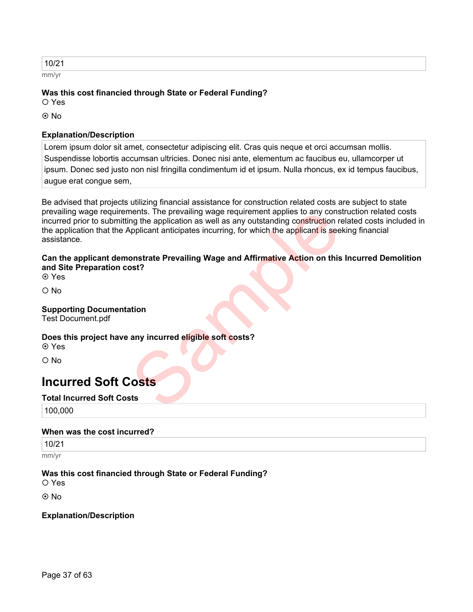| 10/21 |  |  |  |
|-------|--|--|--|
| mm/yr |  |  |  |

### **Was this cost financied through State or Federal Funding?**

O Yes

**⊙** No

### **Explanation/Description**

Lorem ipsum dolor sit amet, consectetur adipiscing elit. Cras quis neque et orci accumsan mollis. Suspendisse lobortis accumsan ultricies. Donec nisi ante, elementum ac faucibus eu, ullamcorper ut ipsum. Donec sed justo non nisl fringilla condimentum id et ipsum. Nulla rhoncus, ex id tempus faucibus, augue erat congue sem,

Be advised that projects utilizing financial assistance for construction related costs are subject to state prevailing wage requirements. The prevailing wage requirement applies to any construction related costs incurred prior to submitting the application as well as any outstanding construction related costs included in the application that the Applicant anticipates incurring, for which the applicant is seeking financial assistance. ments. The prevailing wage requirement applies to any constant and the application as well as any outstanding construction morplicant anticipates incurring, for which the applicant is see<br>onstrate Prevailing Wage and Affir

### **Can the applicant demonstrate Prevailing Wage and Affirmative Action on this Incurred Demolition and Site Preparation cost?**

Yes

O No

### **Supporting Documentation**

Test Document.pdf

### **Does this project have any incurred eligible soft costs?**

Yes

O No

# **Incurred Soft Costs**

### **Total Incurred Soft Costs**

100,000

### **When was the cost incurred?**

10/21

mm/yr

### **Was this cost financied through State or Federal Funding?**

Yes

⊚ No

### **Explanation/Description**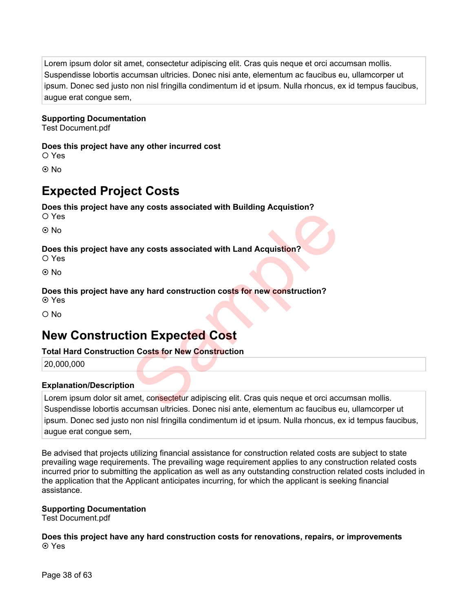Lorem ipsum dolor sit amet, consectetur adipiscing elit. Cras quis neque et orci accumsan mollis. Suspendisse lobortis accumsan ultricies. Donec nisi ante, elementum ac faucibus eu, ullamcorper ut ipsum. Donec sed justo non nisl fringilla condimentum id et ipsum. Nulla rhoncus, ex id tempus faucibus, augue erat congue sem,

### **Supporting Documentation**

Test Document.pdf

### **Does this project have any other incurred cost**

Yes

**⊙** No

# **Expected Project Costs**

### **Does this project have any costs associated with Building Acquistion?**

Yes

**⊙** No

### **Does this project have any costs associated with Land Acquistion?**

Yes

© No

### **Does this project have any hard construction costs for new construction?**

Yes

O No

# **New Construction Expected Cost**

### **Total Hard Construction Costs for New Construction**

20,000,000

### **Explanation/Description**

Lorem ipsum dolor sit amet, consectetur adipiscing elit. Cras quis neque et orci accumsan mollis. Suspendisse lobortis accumsan ultricies. Donec nisi ante, elementum ac faucibus eu, ullamcorper ut ipsum. Donec sed justo non nisl fringilla condimentum id et ipsum. Nulla rhoncus, ex id tempus faucibus, augue erat congue sem, any costs associated with Land Acquistion?<br>
any hard construction costs for new construction?<br>
Sample of the construction<br>
Sample of the construction<br>
In Costs for New Construction<br>
In met, consectetur adipiscing elit. Cra

Be advised that projects utilizing financial assistance for construction related costs are subject to state prevailing wage requirements. The prevailing wage requirement applies to any construction related costs incurred prior to submitting the application as well as any outstanding construction related costs included in the application that the Applicant anticipates incurring, for which the applicant is seeking financial assistance.

### **Supporting Documentation**

Test Document.pdf

### **Does this project have any hard construction costs for renovations, repairs, or improvements ⊙** Yes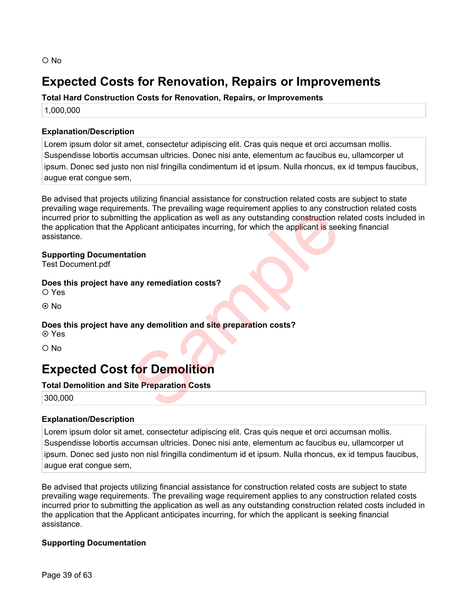# **Expected Costs for Renovation, Repairs or Improvements**

**Total Hard Construction Costs for Renovation, Repairs, or Improvements**

1,000,000

### **Explanation/Description**

Lorem ipsum dolor sit amet, consectetur adipiscing elit. Cras quis neque et orci accumsan mollis. Suspendisse lobortis accumsan ultricies. Donec nisi ante, elementum ac faucibus eu, ullamcorper ut ipsum. Donec sed justo non nisl fringilla condimentum id et ipsum. Nulla rhoncus, ex id tempus faucibus, augue erat congue sem,

Be advised that projects utilizing financial assistance for construction related costs are subject to state prevailing wage requirements. The prevailing wage requirement applies to any construction related costs incurred prior to submitting the application as well as any outstanding construction related costs included in the application that the Applicant anticipates incurring, for which the applicant is seeking financial assistance. Final the prevailing wage requirement applies to any construction repleted that the application as well as any outstanding construction repletion to applicant anticipates incurring, for which the applicant is see<br>ation<br>any

### **Supporting Documentation**

Test Document.pdf

### **Does this project have any remediation costs?**

Yes

© No

### **Does this project have any demolition and site preparation costs?** Yes

O No

# **Expected Cost for Demolition**

### **Total Demolition and Site Preparation Costs**

300,000

### **Explanation/Description**

Lorem ipsum dolor sit amet, consectetur adipiscing elit. Cras quis neque et orci accumsan mollis. Suspendisse lobortis accumsan ultricies. Donec nisi ante, elementum ac faucibus eu, ullamcorper ut ipsum. Donec sed justo non nisl fringilla condimentum id et ipsum. Nulla rhoncus, ex id tempus faucibus, augue erat congue sem,

Be advised that projects utilizing financial assistance for construction related costs are subject to state prevailing wage requirements. The prevailing wage requirement applies to any construction related costs incurred prior to submitting the application as well as any outstanding construction related costs included in the application that the Applicant anticipates incurring, for which the applicant is seeking financial assistance.

### **Supporting Documentation**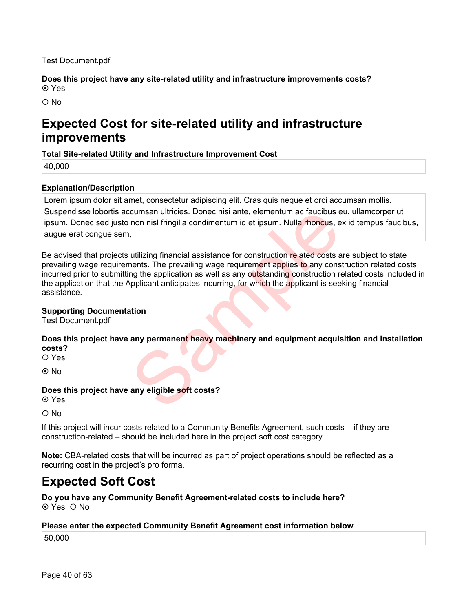Test Document.pdf

**Does this project have any site-related utility and infrastructure improvements costs?** Yes

 $\Omega$  No

# **Expected Cost for site-related utility and infrastructure improvements**

### **Total Site-related Utility and Infrastructure Improvement Cost**

40,000

### **Explanation/Description**

Lorem ipsum dolor sit amet, consectetur adipiscing elit. Cras quis neque et orci accumsan mollis. Suspendisse lobortis accumsan ultricies. Donec nisi ante, elementum ac faucibus eu, ullamcorper ut ipsum. Donec sed justo non nisl fringilla condimentum id et ipsum. Nulla rhoncus, ex id tempus faucibus, augue erat congue sem,

Be advised that projects utilizing financial assistance for construction related costs are subject to state prevailing wage requirements. The prevailing wage requirement applies to any construction related costs incurred prior to submitting the application as well as any outstanding construction related costs included in the application that the Applicant anticipates incurring, for which the applicant is seeking financial assistance. cumsan ultricies. Donec nisi ante, elementum ac faucibus e<br>non nisi fringilla condimentum id et ipsum. Nulla rhoncus, e<br>intents. The prevailing wage requirement applies to any construction<br>ang the application as well as an

### **Supporting Documentation**

Test Document.pdf

### **Does this project have any permanent heavy machinery and equipment acquisition and installation costs?**

Yes

**⊙** No

### **Does this project have any eligible soft costs?**

**⊙** Yes

 $O$  No

If this project will incur costs related to a Community Benefits Agreement, such costs – if they are construction-related – should be included here in the project soft cost category.

**Note:** CBA-related costs that will be incurred as part of project operations should be reflected as a recurring cost in the project's pro forma.

# **Expected Soft Cost**

**Do you have any Community Benefit Agreement-related costs to include here?** ⊙ Yes O No

### **Please enter the expected Community Benefit Agreement cost information below**

50,000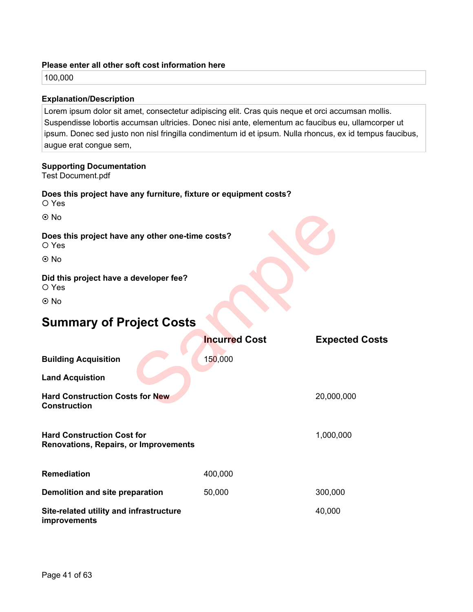### **Please enter all other soft cost information here**

100,000

### **Explanation/Description**

Lorem ipsum dolor sit amet, consectetur adipiscing elit. Cras quis neque et orci accumsan mollis. Suspendisse lobortis accumsan ultricies. Donec nisi ante, elementum ac faucibus eu, ullamcorper ut ipsum. Donec sed justo non nisl fringilla condimentum id et ipsum. Nulla rhoncus, ex id tempus faucibus, augue erat congue sem,

### **Supporting Documentation**

Test Document.pdf

### **Does this project have any furniture, fixture or equipment costs?**

Yes

### **Does this project have any other one-time costs?** O Yes

### **Did this project have a developer fee?**

# **Summary of Project Costs**

| $\odot$ No                                                                        |                      |                       |
|-----------------------------------------------------------------------------------|----------------------|-----------------------|
| Does this project have any other one-time costs?<br>O Yes                         |                      |                       |
| $\odot$ No                                                                        |                      |                       |
| Did this project have a developer fee?<br>O Yes                                   |                      |                       |
| $\odot$ No                                                                        |                      |                       |
| <b>Summary of Project Costs</b>                                                   |                      |                       |
|                                                                                   | <b>Incurred Cost</b> | <b>Expected Costs</b> |
| <b>Building Acquisition</b>                                                       | 150,000              |                       |
| <b>Land Acquistion</b>                                                            |                      |                       |
| <b>Hard Construction Costs for New</b><br><b>Construction</b>                     |                      | 20,000,000            |
| <b>Hard Construction Cost for</b><br><b>Renovations, Repairs, or Improvements</b> |                      | 1,000,000             |
| <b>Remediation</b>                                                                | 400,000              |                       |
| Demolition and site preparation                                                   | 50,000               | 300,000               |
| Site-related utility and infrastructure<br>improvements                           |                      | 40,000                |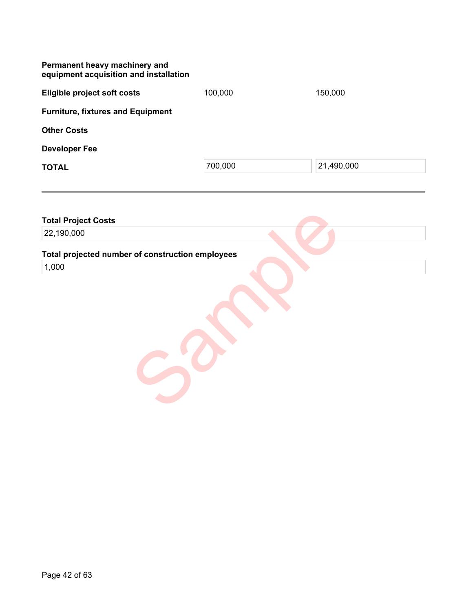| Permanent heavy machinery and<br>equipment acquisition and installation |         |            |
|-------------------------------------------------------------------------|---------|------------|
| <b>Eligible project soft costs</b>                                      | 100,000 | 150,000    |
| <b>Furniture, fixtures and Equipment</b>                                |         |            |
| <b>Other Costs</b>                                                      |         |            |
| <b>Developer Fee</b>                                                    |         |            |
| <b>TOTAL</b>                                                            | 700,000 | 21,490,000 |
|                                                                         |         |            |

| <b>Total Project Costs</b>                       |  |
|--------------------------------------------------|--|
| 22,190,000                                       |  |
| Total projected number of construction employees |  |
| 1,000                                            |  |
|                                                  |  |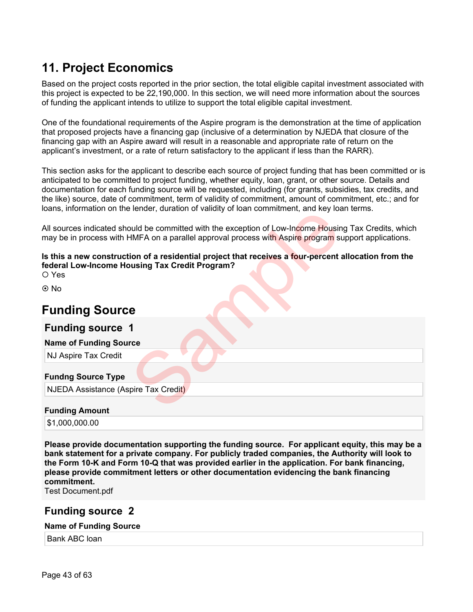# **11. Project Economics**

Based on the project costs reported in the prior section, the total eligible capital investment associated with this project is expected to be 22,190,000. In this section, we will need more information about the sources of funding the applicant intends to utilize to support the total eligible capital investment.

One of the foundational requirements of the Aspire program is the demonstration at the time of application that proposed projects have a financing gap (inclusive of a determination by NJEDA that closure of the financing gap with an Aspire award will result in a reasonable and appropriate rate of return on the applicant's investment, or a rate of return satisfactory to the applicant if less than the RARR).

This section asks for the applicant to describe each source of project funding that has been committed or is anticipated to be committed to project funding, whether equity, loan, grant, or other source. Details and documentation for each funding source will be requested, including (for grants, subsidies, tax credits, and the like) source, date of commitment, term of validity of commitment, amount of commitment, etc.; and for loans, information on the lender, duration of validity of loan commitment, and key loan terms.

All sources indicated should be committed with the exception of Low-Income Housing Tax Credits, which may be in process with HMFA on a parallel approval process with Aspire program support applications.

**Is this a new construction of a residential project that receives a four-percent allocation from the federal Low-Income Housing Tax Credit Program?**  Sample Hender, duration of vantally of barri communitating, and wey local<br>suid be committed with the exception of Low-Income Housing<br>MFA on a parallel approval process with Aspire program si<br>ion of a residential project th

O Yes

ര No

# **Funding Source**

### **Funding source 1**

**Name of Funding Source** 

NJ Aspire Tax Credit

### **Fundng Source Type**

NJEDA Assistance (Aspire Tax Credit)

### **Funding Amount**

\$1,000,000.00

**Please provide documentation supporting the funding source. For applicant equity, this may be a bank statement for a private company. For publicly traded companies, the Authority will look to the Form 10-K and Form 10-Q that was provided earlier in the application. For bank financing, please provide commitment letters or other documentation evidencing the bank financing commitment.** 

Test Document.pdf

### **Funding source 2**

### **Name of Funding Source**

Bank ABC loan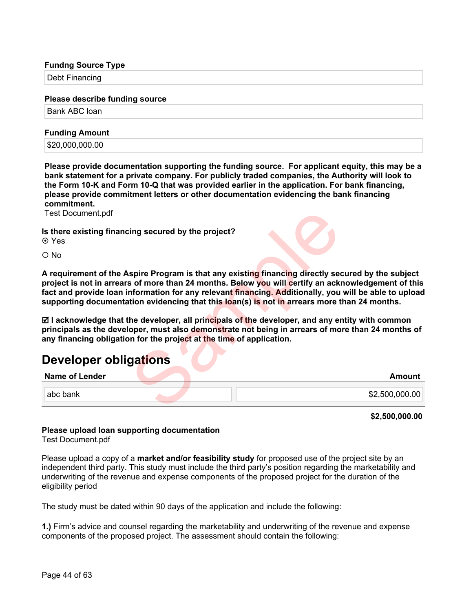### **Fundng Source Type**

Debt Financing

### **Please describe funding source**

Bank ABC loan

### **Funding Amount**

\$20,000,000.00

**Please provide documentation supporting the funding source. For applicant equity, this may be a bank statement for a private company. For publicly traded companies, the Authority will look to the Form 10-K and Form 10-Q that was provided earlier in the application. For bank financing, please provide commitment letters or other documentation evidencing the bank financing commitment.** 

Test Document.pdf

**Is there existing financing secured by the project?**

Yes

O No

**A requirement of the Aspire Program is that any existing financing directly secured by the subject project is not in arrears of more than 24 months. Below you will certify an acknowledgement of this fact and provide loan information for any relevant financing. Additionally, you will be able to upload supporting documentation evidencing that this loan(s) is not in arrears more than 24 months.** ing secured by the project?<br>
spire Program is that any existing financing directly see<br>
s of more than 24 months. Below you will certify an ackinformation for any relevant financing. Additionally, you<br>
tion evidencing that

 **I acknowledge that the developer, all principals of the developer, and any entity with common principals as the developer, must also demonstrate not being in arrears of more than 24 months of any financing obligation for the project at the time of application.**

# **Developer obligations**

| <b>Name of Lender</b> |  | Amount         |
|-----------------------|--|----------------|
|                       |  |                |
| l abc bank l          |  | \$2,500,000.00 |
|                       |  |                |

**\$2,500,000.00**

### **Please upload loan supporting documentation**

Test Document.pdf

Please upload a copy of a **market and/or feasibility study** for proposed use of the project site by an independent third party. This study must include the third party's position regarding the marketability and underwriting of the revenue and expense components of the proposed project for the duration of the eligibility period

The study must be dated within 90 days of the application and include the following:

**1.)** Firm's advice and counsel regarding the marketability and underwriting of the revenue and expense components of the proposed project. The assessment should contain the following: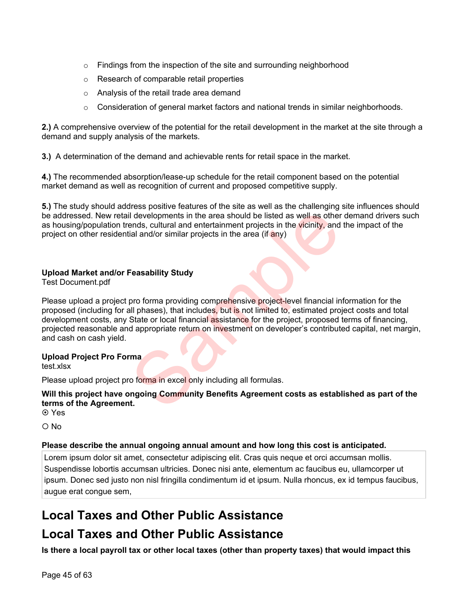- $\circ$  Findings from the inspection of the site and surrounding neighborhood
- o Research of comparable retail properties
- o Analysis of the retail trade area demand
- $\circ$  Consideration of general market factors and national trends in similar neighborhoods.

**2.)** A comprehensive overview of the potential for the retail development in the market at the site through a demand and supply analysis of the markets.

**3.)** A determination of the demand and achievable rents for retail space in the market.

**4.)** The recommended absorption/lease-up schedule for the retail component based on the potential market demand as well as recognition of current and proposed competitive supply.

**5.)** The study should address positive features of the site as well as the challenging site influences should be addressed. New retail developments in the area should be listed as well as other demand drivers such as housing/population trends, cultural and entertainment projects in the vicinity, and the impact of the project on other residential and/or similar projects in the area (if any)

### **Upload Market and/or Feasability Study**

Test Document.pdf

Please upload a project pro forma providing comprehensive project-level financial information for the proposed (including for all phases), that includes, but is not limited to, estimated project costs and total development costs, any State or local financial assistance for the project, proposed terms of financing, projected reasonable and appropriate return on investment on developer's contributed capital, net margin, and cash on cash yield. I developments in the area should be listed as well as other<br>ends, cultural and entertainment projects in the vicinity, and<br>ial and/or similar projects in the area (if any)<br>Feasability Study<br>pro forma providing comprehensi

### **Upload Project Pro Forma**

test.xlsx

Please upload project pro forma in excel only including all formulas.

**Will this project have ongoing Community Benefits Agreement costs as established as part of the terms of the Agreement. ⊙** Yes

O No

### **Please describe the annual ongoing annual amount and how long this cost is anticipated.**

Lorem ipsum dolor sit amet, consectetur adipiscing elit. Cras quis neque et orci accumsan mollis. Suspendisse lobortis accumsan ultricies. Donec nisi ante, elementum ac faucibus eu, ullamcorper ut ipsum. Donec sed justo non nisl fringilla condimentum id et ipsum. Nulla rhoncus, ex id tempus faucibus, augue erat congue sem,

# **Local Taxes and Other Public Assistance**

# **Local Taxes and Other Public Assistance**

**Is there a local payroll tax or other local taxes (other than property taxes) that would impact this**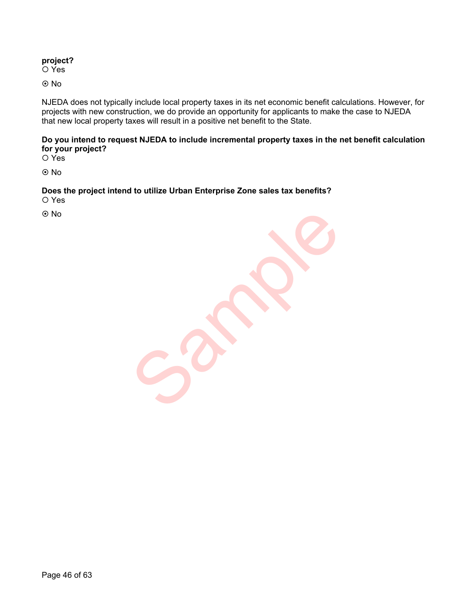### **project?**

O Yes

No

NJEDA does not typically include local property taxes in its net economic benefit calculations. However, for projects with new construction, we do provide an opportunity for applicants to make the case to NJEDA that new local property taxes will result in a positive net benefit to the State.

**Do you intend to request NJEDA to include incremental property taxes in the net benefit calculation for your project?**

O Yes

**⊙** No

**Does the project intend to utilize Urban Enterprise Zone sales tax benefits?** O Yes

**⊙** No

Sample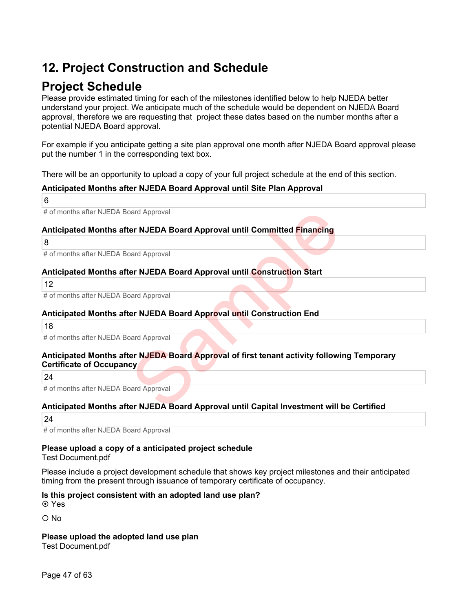# **12. Project Construction and Schedule**

# **Project Schedule**

Please provide estimated timing for each of the milestones identified below to help NJEDA better understand your project. We anticipate much of the schedule would be dependent on NJEDA Board approval, therefore we are requesting that project these dates based on the number months after a potential NJEDA Board approval.

For example if you anticipate getting a site plan approval one month after NJEDA Board approval please put the number 1 in the corresponding text box.

There will be an opportunity to upload a copy of your full project schedule at the end of this section.

### **Anticipated Months after NJEDA Board Approval until Site Plan Approval**

6

# of months after NJEDA Board Approval

### **Anticipated Months after NJEDA Board Approval until Committed Financing**

8

# of months after NJEDA Board Approval

### **Anticipated Months after NJEDA Board Approval until Construction Start**

12

# of months after NJEDA Board Approval

### **Anticipated Months after NJEDA Board Approval until Construction End**

18

# of months after NJEDA Board Approval

# **Anticipated Months after NJEDA Board Approval of first tenant activity following Temporary Certificate of Occupancy** Deard Approval<br>Deard Approval<br>Deard Approval<br>Deard Approval<br>Deard Approval<br>Deard Approval<br>Deard Approval<br>Deard Approval<br>Deard Approval<br>Deard Approval<br>Deard Approval<br>Deard Approval<br>Deard Approval<br>Deard Approval<br>Deard Approv

24

# of months after NJEDA Board Approval

### **Anticipated Months after NJEDA Board Approval until Capital Investment will be Certified**

24

# of months after NJEDA Board Approval

## **Please upload a copy of a anticipated project schedule**

### Test Document.pdf

Please include a project development schedule that shows key project milestones and their anticipated timing from the present through issuance of temporary certificate of occupancy.

### **Is this project consistent with an adopted land use plan?**

Yes

O No

**Please upload the adopted land use plan**

Test Document.pdf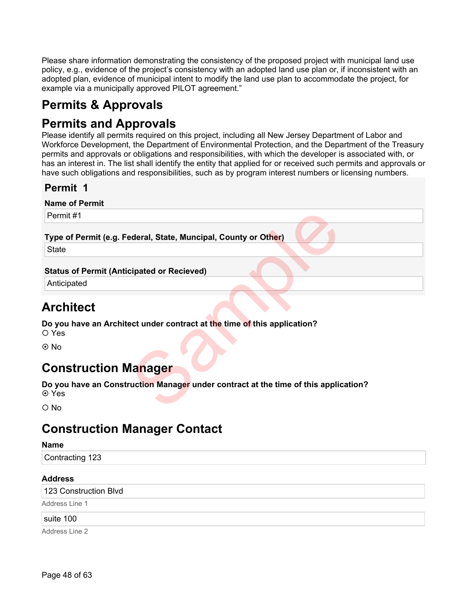Please share information demonstrating the consistency of the proposed project with municipal land use policy, e.g., evidence of the project's consistency with an adopted land use plan or, if inconsistent with an adopted plan, evidence of municipal intent to modify the land use plan to accommodate the project, for example via a municipally approved PILOT agreement."

# **Permits & Approvals**

# **Permits and Approvals**

Please identify all permits required on this project, including all New Jersey Department of Labor and Workforce Development, the Department of Environmental Protection, and the Department of the Treasury permits and approvals or obligations and responsibilities, with which the developer is associated with, or has an interest in. The list shall identify the entity that applied for or received such permits and approvals or have such obligations and responsibilities, such as by program interest numbers or licensing numbers.

## **Permit 1**

**Name of Permit**

Permit #1

### **Type of Permit (e.g. Federal, State, Muncipal, County or Other)**

**State** 

### **Status of Permit (Anticipated or Recieved)**

Anticipated

# **Architect**

**Do you have an Architect under contract at the time of this application?**  Yes

No

# **Construction Manager**

**Do you have an Construction Manager under contract at the time of this application? ⊙** Yes Expedient Asset Muncipal, County or Other)<br>Expanded or Recieved expedience and the time of this application?<br>Transport with the time of this application?<br>Transport with Manager under contract at the time of this applic

 $O$  No

# **Construction Manager Contact**

### **Name**

Contracting 123

### **Address**

123 Construction Blvd

Address Line 1

suite 100

Address Line 2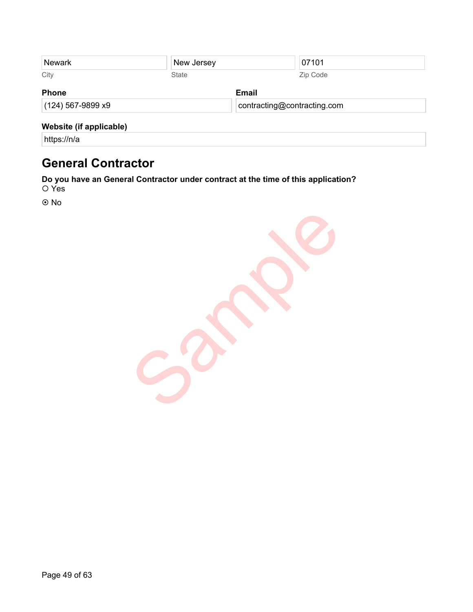| <b>Newark</b>           | New Jersey |              | 07101                       |  |
|-------------------------|------------|--------------|-----------------------------|--|
| City                    | State      |              | Zip Code                    |  |
| <b>Phone</b>            |            | <b>Email</b> |                             |  |
| (124) 567-9899 x9       |            |              | contracting@contracting.com |  |
| Website (if applicable) |            |              |                             |  |
| https://n/a             |            |              |                             |  |

# **General Contractor**

**Do you have an General Contractor under contract at the time of this application?** Yes

No

Sample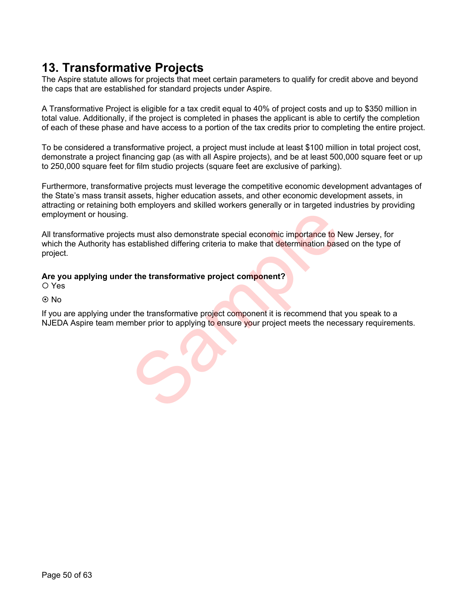# **13. Transformative Projects**

The Aspire statute allows for projects that meet certain parameters to qualify for credit above and beyond the caps that are established for standard projects under Aspire.

A Transformative Project is eligible for a tax credit equal to 40% of project costs and up to \$350 million in total value. Additionally, if the project is completed in phases the applicant is able to certify the completion of each of these phase and have access to a portion of the tax credits prior to completing the entire project.

To be considered a transformative project, a project must include at least \$100 million in total project cost, demonstrate a project financing gap (as with all Aspire projects), and be at least 500,000 square feet or up to 250,000 square feet for film studio projects (square feet are exclusive of parking).

Furthermore, transformative projects must leverage the competitive economic development advantages of the State's mass transit assets, higher education assets, and other economic development assets, in attracting or retaining both employers and skilled workers generally or in targeted industries by providing employment or housing.

All transformative projects must also demonstrate special economic importance to New Jersey, for which the Authority has established differing criteria to make that determination based on the type of project. Its must also demonstrate special economic importance to N<br>
Satablished differing criteria to make that determination base<br>
It are transformative project component?<br>
The transformative project component it is recommend tha

### **Are you applying under the transformative project component?**

Yes

**⊙**No

If you are applying under the transformative project component it is recommend that you speak to a NJEDA Aspire team member prior to applying to ensure your project meets the necessary requirements.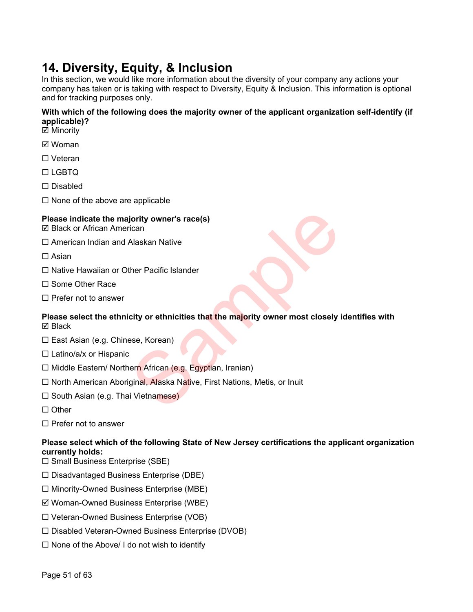# **14. Diversity, Equity, & Inclusion**

In this section, we would like more information about the diversity of your company any actions your company has taken or is taking with respect to Diversity, Equity & Inclusion. This information is optional and for tracking purposes only.

### **With which of the following does the majority owner of the applicant organization self-identify (if applicable)?**

- **⊠** Minority
- Woman
- □ Veteran
- $\Box$ LGBTQ
- □ Disabled
- $\Box$  None of the above are applicable

### **Please indicate the majority owner's race(s)**

- $\boxtimes$  **Black or African American**
- □ American Indian and Alaskan Native
- $\square$  Asian
- $\Box$  Native Hawaiian or Other Pacific Islander
- □ Some Other Race
- $\square$  Prefer not to answer

# **Please select the ethnicity or ethnicities that the majority owner most closely identifies with Ø** Black pority owner's race(s)<br>
Alaskan Native<br>
ther Pacific Islander<br>
city or ethnicities that the majority owner most closely i<br>
sse, Korean)<br>
ern African (e.g. Egyptian, Iranian)<br>
ginal, Alaska Native, First Nations, Metis, or

- □ East Asian (e.g. Chinese, Korean)
- $\square$  Latino/a/x or Hispanic
- $\Box$  Middle Eastern/ Northern African (e.g. Egyptian, Iranian)
- □ North American Aboriginal, Alaska Native, First Nations, Metis, or Inuit
- $\square$  South Asian (e.g. Thai Vietnamese)
- $\Box$  Other
- $\Box$  Prefer not to answer

### **Please select which of the following State of New Jersey certifications the applicant organization currently holds:**

- $\square$  Small Business Enterprise (SBE)
- $\square$  Disadvantaged Business Enterprise (DBE)
- $\Box$  Minority-Owned Business Enterprise (MBE)
- Woman-Owned Business Enterprise (WBE)
- Veteran-Owned Business Enterprise (VOB)
- Disabled Veteran-Owned Business Enterprise (DVOB)
- $\Box$  None of the Above/ I do not wish to identify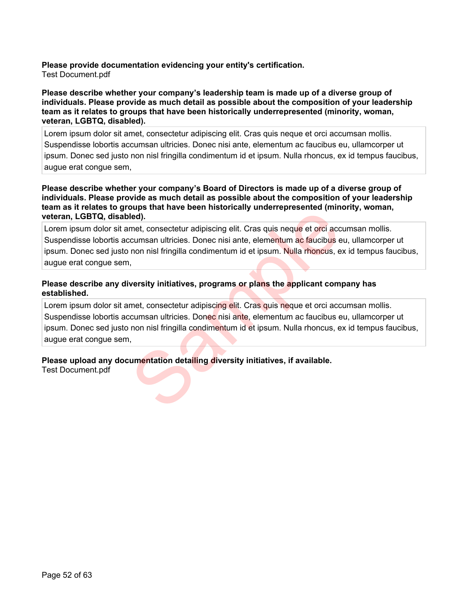**Please provide documentation evidencing your entity's certification.**  Test Document.pdf

### **Please describe whether your company's leadership team is made up of a diverse group of individuals. Please provide as much detail as possible about the composition of your leadership team as it relates to groups that have been historically underrepresented (minority, woman, veteran, LGBTQ, disabled).**

Lorem ipsum dolor sit amet, consectetur adipiscing elit. Cras quis neque et orci accumsan mollis. Suspendisse lobortis accumsan ultricies. Donec nisi ante, elementum ac faucibus eu, ullamcorper ut ipsum. Donec sed justo non nisl fringilla condimentum id et ipsum. Nulla rhoncus, ex id tempus faucibus, augue erat congue sem,

### **Please describe whether your company's Board of Directors is made up of a diverse group of individuals. Please provide as much detail as possible about the composition of your leadership team as it relates to groups that have been historically underrepresented (minority, woman, veteran, LGBTQ, disabled).**

Lorem ipsum dolor sit amet, consectetur adipiscing elit. Cras quis neque et orci accumsan mollis. Suspendisse lobortis accumsan ultricies. Donec nisi ante, elementum ac faucibus eu, ullamcorper ut ipsum. Donec sed justo non nisl fringilla condimentum id et ipsum. Nulla rhoncus, ex id tempus faucibus, augue erat congue sem,

### **Please describe any diversity initiatives, programs or plans the applicant company has established.**

Lorem ipsum dolor sit amet, consectetur adipiscing elit. Cras quis neque et orci accumsan mollis. Suspendisse lobortis accumsan ultricies. Donec nisi ante, elementum ac faucibus eu, ullamcorper ut ipsum. Donec sed justo non nisl fringilla condimentum id et ipsum. Nulla rhoncus, ex id tempus faucibus, augue erat congue sem, Led).<br>
The met, consectetur adipiscing elit. Cras quis neque et orci accordinative solutions and ultricies. Donec nisi ante, elementum ac faucibus e non nisi fringilla condimentum id et ipsum. Nulla rhoncus, e<br>
Nextylist i

### **Please upload any documentation detailing diversity initiatives, if available.**

Test Document.pdf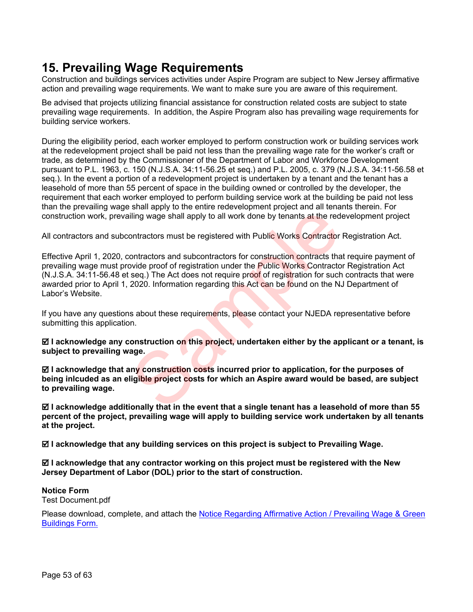# **15. Prevailing Wage Requirements**

Construction and buildings services activities under Aspire Program are subject to New Jersey affirmative action and prevailing wage requirements. We want to make sure you are aware of this requirement.

Be advised that projects utilizing financial assistance for construction related costs are subject to state prevailing wage requirements. In addition, the Aspire Program also has prevailing wage requirements for building service workers.

During the eligibility period, each worker employed to perform construction work or building services work at the redevelopment project shall be paid not less than the prevailing wage rate for the worker's craft or trade, as determined by the Commissioner of the Department of Labor and Workforce Development pursuant to P.L. 1963, c. 150 (N.J.S.A. 34:11-56.25 et seq.) and P.L. 2005, c. 379 (N.J.S.A. 34:11-56.58 et seq.). In the event a portion of a redevelopment project is undertaken by a tenant and the tenant has a leasehold of more than 55 percent of space in the building owned or controlled by the developer, the requirement that each worker employed to perform building service work at the building be paid not less than the prevailing wage shall apply to the entire redevelopment project and all tenants therein. For construction work, prevailing wage shall apply to all work done by tenants at the redevelopment project

All contractors and subcontractors must be registered with Public Works Contractor Registration Act.

Effective April 1, 2020, contractors and subcontractors for construction contracts that require payment of prevailing wage must provide proof of registration under the Public Works Contractor Registration Act (N.J.S.A. 34:11-56.48 et seq.) The Act does not require proof of registration for such contracts that were awarded prior to April 1, 2020. Information regarding this Act can be found on the NJ Department of Labor's Website. iling wage shall apply to all work done by tenants at the red<br>ontractors must be registered with Public Works Contractor<br>ontractors and subcontractors for construction contracts tha<br>wide proof of registration under the Pub

If you have any questions about these requirements, please contact your NJEDA representative before submitting this application.

 **I acknowledge any construction on this project, undertaken either by the applicant or a tenant, is subject to prevailing wage.**

 **I acknowledge that any construction costs incurred prior to application, for the purposes of being inlcuded as an eligible project costs for which an Aspire award would be based, are subject to prevailing wage.**

 **I acknowledge additionally that in the event that a single tenant has a leasehold of more than 55 percent of the project, prevailing wage will apply to building service work undertaken by all tenants at the project.**

 **I acknowledge that any building services on this project is subject to Prevailing Wage.**

 **I acknowledge that any contractor working on this project must be registered with the New Jersey Department of Labor (DOL) prior to the start of construction.**

**Notice Form** Test Document.pdf

Please download, complete, and attach the [Notice Regarding Affirmative Action / Prevailing Wage & Green](https://www.njeda.com/wp-content/uploads/2021/11/NOTICE-REGARDING-AA-AND-PW-2020.pdf)  [Buildings Form.](https://www.njeda.com/wp-content/uploads/2021/11/NOTICE-REGARDING-AA-AND-PW-2020.pdf)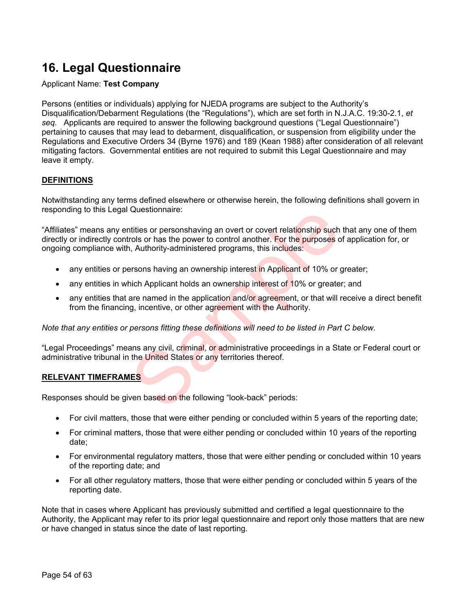# **16. Legal Questionnaire**

### Applicant Name: **Test Company**

Persons (entities or individuals) applying for NJEDA programs are subject to the Authority's Disqualification/Debarment Regulations (the "Regulations"), which are set forth in N.J.A.C. 19:30-2.1, *et seq.* Applicants are required to answer the following background questions ("Legal Questionnaire") pertaining to causes that may lead to debarment, disqualification, or suspension from eligibility under the Regulations and Executive Orders 34 (Byrne 1976) and 189 (Kean 1988) after consideration of all relevant mitigating factors. Governmental entities are not required to submit this Legal Questionnaire and may leave it empty.

### **DEFINITIONS**

Notwithstanding any terms defined elsewhere or otherwise herein, the following definitions shall govern in responding to this Legal Questionnaire:

"Affiliates" means any entities or personshaving an overt or covert relationship such that any one of them directly or indirectly controls or has the power to control another. For the purposes of application for, or ongoing compliance with, Authority-administered programs, this includes: Questionnaire:<br>
titities or personshaving an overt or covert relationship such<br>
rols or has the power to control another. For the purposes o<br>
i, Authority-administered programs, this includes:<br>
resons having an ownership i

- any entities or persons having an ownership interest in Applicant of 10% or greater;
- any entities in which Applicant holds an ownership interest of 10% or greater; and
- any entities that are named in the application and/or agreement, or that will receive a direct benefit from the financing, incentive, or other agreement with the Authority.

*Note that any entities or persons fitting these definitions will need to be listed in Part C below.*

"Legal Proceedings" means any civil, criminal, or administrative proceedings in a State or Federal court or administrative tribunal in the United States or any territories thereof.

### **RELEVANT TIMEFRAMES**

Responses should be given based on the following "look-back" periods:

- For civil matters, those that were either pending or concluded within 5 years of the reporting date;
- For criminal matters, those that were either pending or concluded within 10 years of the reporting date;
- For environmental regulatory matters, those that were either pending or concluded within 10 years of the reporting date; and
- For all other regulatory matters, those that were either pending or concluded within 5 years of the reporting date.

Note that in cases where Applicant has previously submitted and certified a legal questionnaire to the Authority, the Applicant may refer to its prior legal questionnaire and report only those matters that are new or have changed in status since the date of last reporting.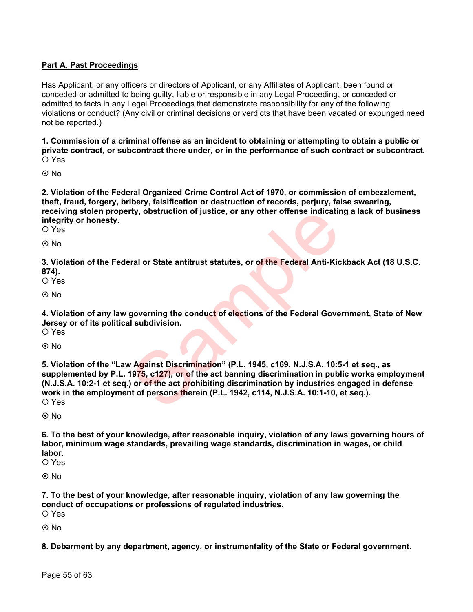### **Part A. Past Proceedings**

Has Applicant, or any officers or directors of Applicant, or any Affiliates of Applicant, been found or conceded or admitted to being guilty, liable or responsible in any Legal Proceeding, or conceded or admitted to facts in any Legal Proceedings that demonstrate responsibility for any of the following violations or conduct? (Any civil or criminal decisions or verdicts that have been vacated or expunged need not be reported.)

**1. Commission of a criminal offense as an incident to obtaining or attempting to obtain a public or private contract, or subcontract there under, or in the performance of such contract or subcontract.**

Yes

No

**2. Violation of the Federal Organized Crime Control Act of 1970, or commission of embezzlement, theft, fraud, forgery, bribery, falsification or destruction of records, perjury, false swearing, receiving stolen property, obstruction of justice, or any other offense indicating a lack of business integrity or honesty.** O Yes

**⊙**No

**3. Violation of the Federal or State antitrust statutes, or of the Federal Anti-Kickback Act (18 U.S.C. 874).**

Yes

No

**4. Violation of any law governing the conduct of elections of the Federal Government, State of New Jersey or of its political subdivision.**

O Yes

⊙ No

**5. Violation of the "Law Against Discrimination" (P.L. 1945, c169, N.J.S.A. 10:5-1 et seq., as supplemented by P.L. 1975, c127), or of the act banning discrimination in public works employment (N.J.S.A. 10:2-1 et seq.) or of the act prohibiting discrimination by industries engaged in defense work in the employment of persons therein (P.L. 1942, c114, N.J.S.A. 10:1-10, et seq.).** O Yes rty, obstruction of justice, or any other offense indicatir<br>
Iral or State antitrust statutes, or of the Federal Anti-Kic<br>
governing the conduct of elections of the Federal Gove<br>
I subdivision.<br>
V Against Discrimination" (

No

**6. To the best of your knowledge, after reasonable inquiry, violation of any laws governing hours of labor, minimum wage standards, prevailing wage standards, discrimination in wages, or child labor.**

Yes

**⊙**No

**7. To the best of your knowledge, after reasonable inquiry, violation of any law governing the conduct of occupations or professions of regulated industries.** O Yes

No

**8. Debarment by any department, agency, or instrumentality of the State or Federal government.**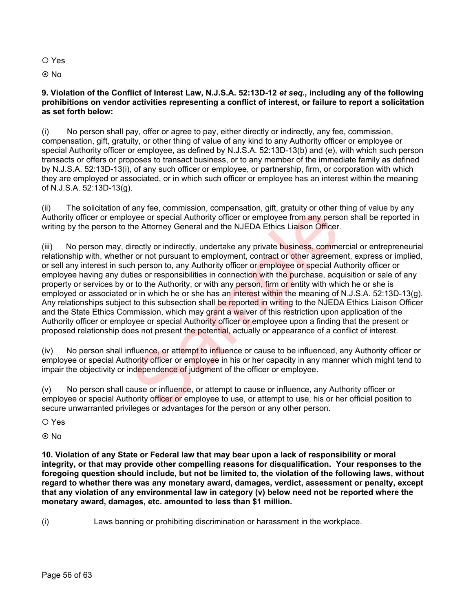Yes

© No

### **9. Violation of the Conflict of Interest Law, N.J.S.A. 52:13D-12** *et seq.***, including any of the following prohibitions on vendor activities representing a conflict of interest, or failure to report a solicitation as set forth below:**

(i) No person shall pay, offer or agree to pay, either directly or indirectly, any fee, commission, compensation, gift, gratuity, or other thing of value of any kind to any Authority officer or employee or special Authority officer or employee, as defined by N.J.S.A. 52:13D-13(b) and (e), with which such person transacts or offers or proposes to transact business, or to any member of the immediate family as defined by N.J.S.A. 52:13D-13(i), of any such officer or employee, or partnership, firm, or corporation with which they are employed or associated, or in which such officer or employee has an interest within the meaning of N.J.S.A. 52:13D-13(g).

(ii) The solicitation of any fee, commission, compensation, gift, gratuity or other thing of value by any Authority officer or employee or special Authority officer or employee from any person shall be reported in writing by the person to the Attorney General and the NJEDA Ethics Liaison Officer.

(iii) No person may, directly or indirectly, undertake any private business, commercial or entrepreneurial relationship with, whether or not pursuant to employment, contract or other agreement, express or implied, or sell any interest in such person to, any Authority officer or employee or special Authority officer or employee having any duties or responsibilities in connection with the purchase, acquisition or sale of any property or services by or to the Authority, or with any person, firm or entity with which he or she is employed or associated or in which he or she has an interest within the meaning of N.J.S.A. 52:13D-13(g). Any relationships subject to this subsection shall be reported in writing to the NJEDA Ethics Liaison Officer and the State Ethics Commission, which may grant a waiver of this restriction upon application of the Authority officer or employee or special Authority officer or employee upon a finding that the present or proposed relationship does not present the potential, actually or appearance of a conflict of interest. any loc., commission, compensative, give, yaking or or special Authority officer or employee from any person-<br>the Attorney General and the NJEDA Ethics Liaison Officer.<br>Irectly or indirectly, undertake any private business

(iv) No person shall influence, or attempt to influence or cause to be influenced, any Authority officer or employee or special Authority officer or employee in his or her capacity in any manner which might tend to impair the objectivity or independence of judgment of the officer or employee.

 $(v)$  No person shall cause or influence, or attempt to cause or influence, any Authority officer or employee or special Authority officer or employee to use, or attempt to use, his or her official position to secure unwarranted privileges or advantages for the person or any other person.

Yes

**⊙** No

**10. Violation of any State or Federal law that may bear upon a lack of responsibility or moral integrity, or that may provide other compelling reasons for disqualification. Your responses to the foregoing question should include, but not be limited to, the violation of the following laws, without regard to whether there was any monetary award, damages, verdict, assessment or penalty, except that any violation of any environmental law in category (v) below need not be reported where the monetary award, damages, etc. amounted to less than \$1 million.**

(i) Laws banning or prohibiting discrimination or harassment in the workplace.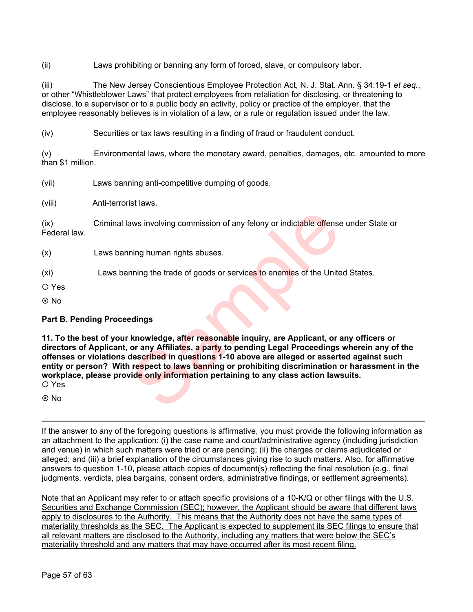(ii) Laws prohibiting or banning any form of forced, slave, or compulsory labor.

(iii) The New Jersey Conscientious Employee Protection Act, N. J. Stat. Ann. § 34:19-1 *et seq.*, or other "Whistleblower Laws" that protect employees from retaliation for disclosing, or threatening to disclose, to a supervisor or to a public body an activity, policy or practice of the employer, that the employee reasonably believes is in violation of a law, or a rule or regulation issued under the law.

(iv) Securities or tax laws resulting in a finding of fraud or fraudulent conduct.

(v) Environmental laws, where the monetary award, penalties, damages, etc. amounted to more than \$1 million.

(vii) Laws banning anti-competitive dumping of goods.

(viii) Anti-terrorist laws.

(ix) Criminal laws involving commission of any felony or indictable offense under State or Federal law.

- (x) Laws banning human rights abuses.
- (xi) Laws banning the trade of goods or services to enemies of the United States.

Yes

⊙ No

### **Part B. Pending Proceedings**

**11. To the best of your knowledge, after reasonable inquiry, are Applicant, or any officers or directors of Applicant, or any Affiliates, a party to pending Legal Proceedings wherein any of the offenses or violations described in questions 1-10 above are alleged or asserted against such entity or person? With respect to laws banning or prohibiting discrimination or harassment in the workplace, please provide only information pertaining to any class action lawsuits.**  O Yes aws involving commission of any felony or indictable offense<br>
Ining human rights abuses.<br>
Ining the trade of goods or services to enemies of the Unite<br>
Ining the trade of goods or services to enemies of the Unite<br>
Indians<br>

⊙ No

If the answer to any of the foregoing questions is affirmative, you must provide the following information as an attachment to the application: (i) the case name and court/administrative agency (including jurisdiction and venue) in which such matters were tried or are pending; (ii) the charges or claims adjudicated or alleged; and (iii) a brief explanation of the circumstances giving rise to such matters. Also, for affirmative answers to question 1-10, please attach copies of document(s) reflecting the final resolution (e.g., final judgments, verdicts, plea bargains, consent orders, administrative findings, or settlement agreements).

Note that an Applicant may refer to or attach specific provisions of a 10-K/Q or other filings with the U.S. Securities and Exchange Commission (SEC); however, the Applicant should be aware that different laws apply to disclosures to the Authority. This means that the Authority does not have the same types of materiality thresholds as the SEC. The Applicant is expected to supplement its SEC filings to ensure that all relevant matters are disclosed to the Authority, including any matters that were below the SEC's materiality threshold and any matters that may have occurred after its most recent filing.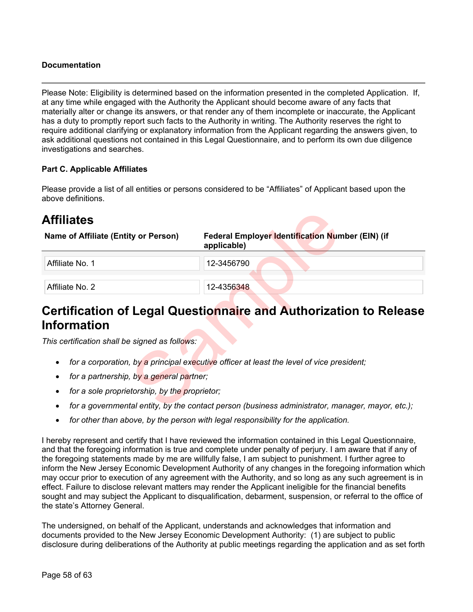### **Documentation**

Please Note: Eligibility is determined based on the information presented in the completed Application. If, at any time while engaged with the Authority the Applicant should become aware of any facts that materially alter or change its answers, or that render any of them incomplete or inaccurate, the Applicant has a duty to promptly report such facts to the Authority in writing. The Authority reserves the right to require additional clarifying or explanatory information from the Applicant regarding the answers given, to ask additional questions not contained in this Legal Questionnaire, and to perform its own due diligence investigations and searches.

### **Part C. Applicable Affiliates**

Please provide a list of all entities or persons considered to be "Affiliates" of Applicant based upon the above definitions.

# **Affiliates**

| <b>Affiliates</b>                              |                                                                                                  |
|------------------------------------------------|--------------------------------------------------------------------------------------------------|
| Name of Affiliate (Entity or Person)           | Federal Employer Identification Number (EIN) (if<br>applicable)                                  |
| Affiliate No. 1                                | 12-3456790                                                                                       |
| Affiliate No. 2                                | 12-4356348                                                                                       |
| <b>Information</b>                             | Certification of Legal Questionnaire and Authorization to Release                                |
|                                                |                                                                                                  |
| This certification shall be signed as follows: |                                                                                                  |
|                                                | for a corporation, by a principal executive officer at least the level of vice president;        |
| for a partnership, by a general partner;       |                                                                                                  |
| for a sole proprietorship, by the proprietor;  |                                                                                                  |
|                                                | for a governmental entity, by the contact person (business administrator, manager, mayor, etc.); |

# **Certification of Legal Questionnaire and Authorization to Release Information**

- *for a corporation, by a principal executive officer at least the level of vice president;*
- *for a partnership, by a general partner;*
- *for a sole proprietorship, by the proprietor;*
- *for a governmental entity, by the contact person (business administrator, manager, mayor, etc.);*
- *for other than above, by the person with legal responsibility for the application.*

I hereby represent and certify that I have reviewed the information contained in this Legal Questionnaire, and that the foregoing information is true and complete under penalty of perjury. I am aware that if any of the foregoing statements made by me are willfully false, I am subject to punishment. I further agree to inform the New Jersey Economic Development Authority of any changes in the foregoing information which may occur prior to execution of any agreement with the Authority, and so long as any such agreement is in effect. Failure to disclose relevant matters may render the Applicant ineligible for the financial benefits sought and may subject the Applicant to disqualification, debarment, suspension, or referral to the office of the state's Attorney General.

The undersigned, on behalf of the Applicant, understands and acknowledges that information and documents provided to the New Jersey Economic Development Authority: (1) are subject to public disclosure during deliberations of the Authority at public meetings regarding the application and as set forth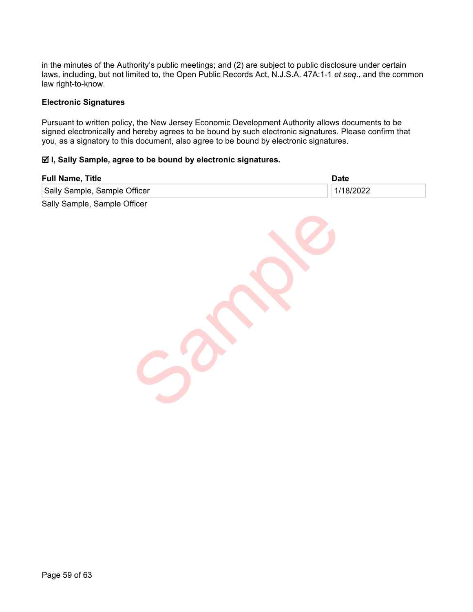in the minutes of the Authority's public meetings; and (2) are subject to public disclosure under certain laws, including, but not limited to, the Open Public Records Act, N.J.S.A. 47A:1-1 *et seq*., and the common law right-to-know.

### **Electronic Signatures**

Pursuant to written policy, the New Jersey Economic Development Authority allows documents to be signed electronically and hereby agrees to be bound by such electronic signatures. Please confirm that you, as a signatory to this document, also agree to be bound by electronic signatures.

### **I, Sally Sample, agree to be bound by electronic signatures.**

| <b>Full Name, Title</b>      | <b>Date</b> |
|------------------------------|-------------|
| Sally Sample, Sample Officer | 1/18/2022   |
| Sally Sample, Sample Officer |             |
|                              |             |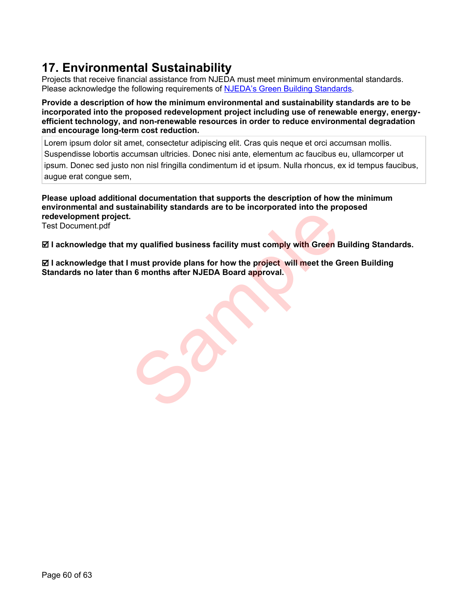# **17. Environmental Sustainability**

Projects that receive financial assistance from NJEDA must meet minimum environmental standards. Please acknowledge the following requirements of **NJEDA's Green Building Standards**.

**Provide a description of how the minimum environmental and sustainability standards are to be incorporated into the proposed redevelopment project including use of renewable energy, energyefficient technology, and non-renewable resources in order to reduce environmental degradation and encourage long-term cost reduction.**

Lorem ipsum dolor sit amet, consectetur adipiscing elit. Cras quis neque et orci accumsan mollis. Suspendisse lobortis accumsan ultricies. Donec nisi ante, elementum ac faucibus eu, ullamcorper ut ipsum. Donec sed justo non nisl fringilla condimentum id et ipsum. Nulla rhoncus, ex id tempus faucibus, augue erat congue sem,

**Please upload additional documentation that supports the description of how the minimum environmental and sustainability standards are to be incorporated into the proposed redevelopment project.** 

Test Document.pdf

 **I acknowledge that my qualified business facility must comply with Green Building Standards.**

 $⊠$  **I acknowledge that I must provide plans for how the project will meet the Green Building Standards no later than 6 months after NJEDA Board approval.** In a muslim of the Case interpretation in the product will meet the G<br>In 6 months after NJEDA Board approval.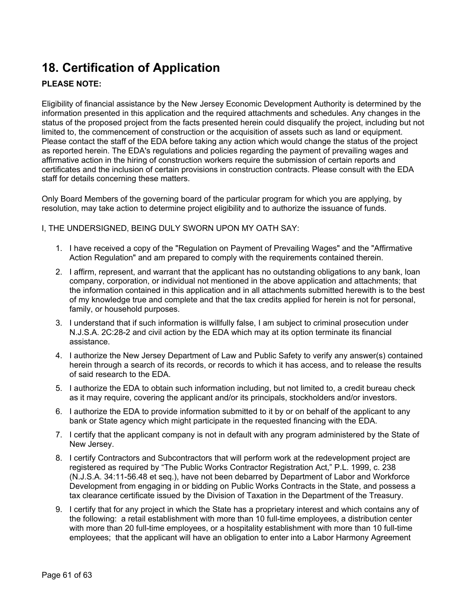# **18. Certification of Application**

### **PLEASE NOTE:**

Eligibility of financial assistance by the New Jersey Economic Development Authority is determined by the information presented in this application and the required attachments and schedules. Any changes in the status of the proposed project from the facts presented herein could disqualify the project, including but not limited to, the commencement of construction or the acquisition of assets such as land or equipment. Please contact the staff of the EDA before taking any action which would change the status of the project as reported herein. The EDA's regulations and policies regarding the payment of prevailing wages and affirmative action in the hiring of construction workers require the submission of certain reports and certificates and the inclusion of certain provisions in construction contracts. Please consult with the EDA staff for details concerning these matters.

Only Board Members of the governing board of the particular program for which you are applying, by resolution, may take action to determine project eligibility and to authorize the issuance of funds.

I, THE UNDERSIGNED, BEING DULY SWORN UPON MY OATH SAY:

- 1. I have received a copy of the "Regulation on Payment of Prevailing Wages" and the "Affirmative Action Regulation" and am prepared to comply with the requirements contained therein.
- 2. I affirm, represent, and warrant that the applicant has no outstanding obligations to any bank, loan company, corporation, or individual not mentioned in the above application and attachments; that the information contained in this application and in all attachments submitted herewith is to the best of my knowledge true and complete and that the tax credits applied for herein is not for personal, family, or household purposes.
- 3. I understand that if such information is willfully false, I am subject to criminal prosecution under N.J.S.A. 2C:28-2 and civil action by the EDA which may at its option terminate its financial assistance.
- 4. I authorize the New Jersey Department of Law and Public Safety to verify any answer(s) contained herein through a search of its records, or records to which it has access, and to release the results of said research to the EDA.
- 5. I authorize the EDA to obtain such information including, but not limited to, a credit bureau check as it may require, covering the applicant and/or its principals, stockholders and/or investors.
- 6. I authorize the EDA to provide information submitted to it by or on behalf of the applicant to any bank or State agency which might participate in the requested financing with the EDA.
- 7. I certify that the applicant company is not in default with any program administered by the State of New Jersey.
- 8. I certify Contractors and Subcontractors that will perform work at the redevelopment project are registered as required by "The Public Works Contractor Registration Act," P.L. 1999, c. 238 (N.J.S.A. 34:11-56.48 et seq.), have not been debarred by Department of Labor and Workforce Development from engaging in or bidding on Public Works Contracts in the State, and possess a tax clearance certificate issued by the Division of Taxation in the Department of the Treasury.
- 9. I certify that for any project in which the State has a proprietary interest and which contains any of the following: a retail establishment with more than 10 full-time employees, a distribution center with more than 20 full-time employees, or a hospitality establishment with more than 10 full-time employees; that the applicant will have an obligation to enter into a Labor Harmony Agreement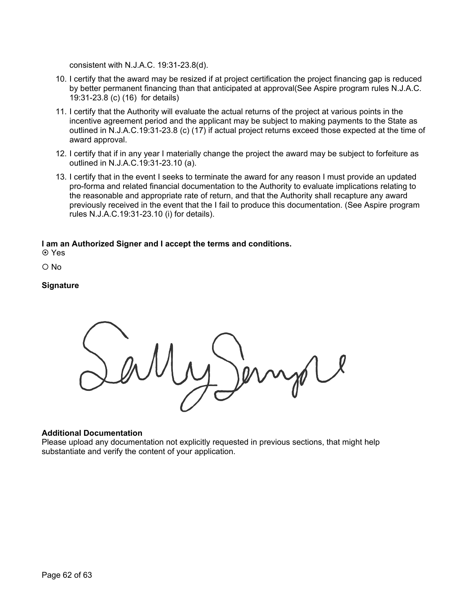consistent with N.J.A.C. 19:31-23.8(d).

- 10. I certify that the award may be resized if at project certification the project financing gap is reduced by better permanent financing than that anticipated at approval(See Aspire program rules N.J.A.C. 19:31-23.8 (c) (16) for details)
- 11. I certify that the Authority will evaluate the actual returns of the project at various points in the incentive agreement period and the applicant may be subject to making payments to the State as outlined in N.J.A.C.19:31-23.8 (c) (17) if actual project returns exceed those expected at the time of award approval.
- 12. I certify that if in any year I materially change the project the award may be subject to forfeiture as outlined in N.J.A.C.19:31-23.10 (a).
- 13. I certify that in the event I seeks to terminate the award for any reason I must provide an updated pro-forma and related financial documentation to the Authority to evaluate implications relating to the reasonable and appropriate rate of return, and that the Authority shall recapture any award previously received in the event that the I fail to produce this documentation. (See Aspire program rules N.J.A.C.19:31-23.10 (i) for details).

### **I am an Authorized Signer and I accept the terms and conditions.**

**⊙** Yes

 $O$  No

### **Signature**

### **Additional Documentation**

Please upload any documentation not explicitly requested in previous sections, that might help substantiate and verify the content of your application.